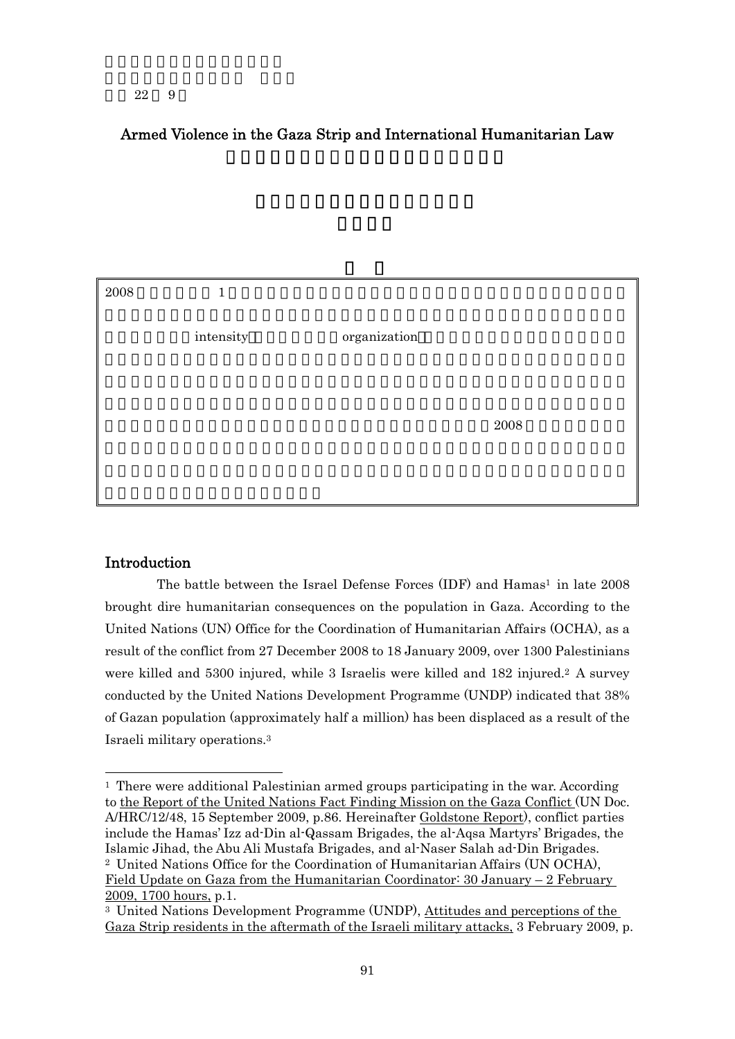## Armed Violence in the Gaza Strip and International Humanitarian Law

| 2008 | $\mathbf{1}$ |              |            |
|------|--------------|--------------|------------|
|      | intensity    | organization |            |
|      |              |              |            |
|      |              |              | $\,2008\,$ |
|      |              |              |            |
|      |              |              |            |

## **Introduction**

-

The battle between the Israel Defense Forces  $(IDF)$  and Hamas<sup>1</sup> in late 2008 brought dire humanitarian consequences on the population in Gaza. According to the United Nations (UN) Office for the Coordination of Humanitarian Affairs (OCHA), as a result of the conflict from 27 December 2008 to 18 January 2009, over 1300 Palestinians were killed and 5300 injured, while 3 Israelis were killed and 182 injured.2 A survey conducted by the United Nations Development Programme (UNDP) indicated that 38% of Gazan population (approximately half a million) has been displaced as a result of the Israeli military operations.3

<sup>1</sup> There were additional Palestinian armed groups participating in the war. According to the Report of the United Nations Fact Finding Mission on the Gaza Conflict (UN Doc. A/HRC/12/48, 15 September 2009, p.86. Hereinafter Goldstone Report), conflict parties include the Hamas' Izz ad-Din al-Qassam Brigades, the al-Aqsa Martyrs' Brigades, the Islamic Jihad, the Abu Ali Mustafa Brigades, and al-Naser Salah ad-Din Brigades. 2 United Nations Office for the Coordination of Humanitarian Affairs (UN OCHA), Field Update on Gaza from the Humanitarian Coordinator: 30 January – 2 February 2009, 1700 hours, p.1.

<sup>3</sup> United Nations Development Programme (UNDP), Attitudes and perceptions of the Gaza Strip residents in the aftermath of the Israeli military attacks, 3 February 2009, p.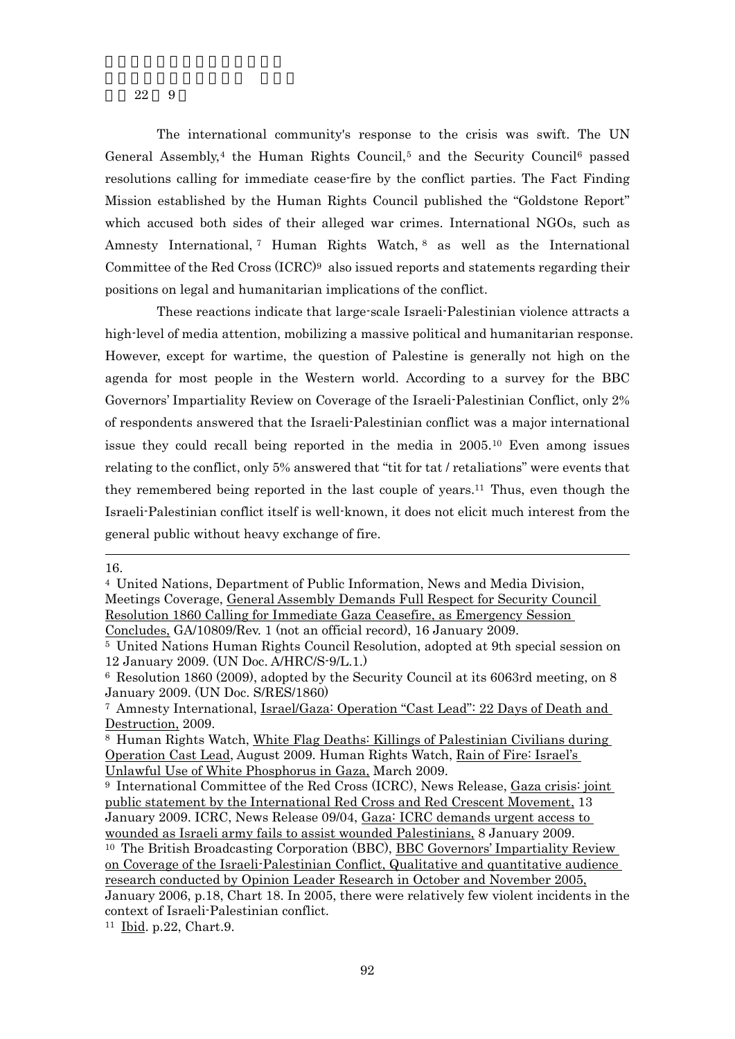The international community's response to the crisis was swift. The UN General Assembly,<sup>4</sup> the Human Rights Council,<sup>5</sup> and the Security Council<sup>6</sup> passed resolutions calling for immediate cease-fire by the conflict parties. The Fact Finding Mission established by the Human Rights Council published the "Goldstone Report" which accused both sides of their alleged war crimes. International NGOs, such as Amnesty International,<sup>7</sup> Human Rights Watch,<sup>8</sup> as well as the International Committee of the Red Cross  $(ICRC)^9$  also issued reports and statements regarding their positions on legal and humanitarian implications of the conflict.

 These reactions indicate that large-scale Israeli-Palestinian violence attracts a high-level of media attention, mobilizing a massive political and humanitarian response. However, except for wartime, the question of Palestine is generally not high on the agenda for most people in the Western world. According to a survey for the BBC Governors' Impartiality Review on Coverage of the Israeli-Palestinian Conflict, only 2% of respondents answered that the Israeli-Palestinian conflict was a major international issue they could recall being reported in the media in 2005.10 Even among issues relating to the conflict, only 5% answered that "tit for tat / retaliations" were events that they remembered being reported in the last couple of years.11 Thus, even though the Israeli-Palestinian conflict itself is well-known, it does not elicit much interest from the general public without heavy exchange of fire.

-16.

<sup>4</sup> United Nations, Department of Public Information, News and Media Division, Meetings Coverage, General Assembly Demands Full Respect for Security Council Resolution 1860 Calling for Immediate Gaza Ceasefire, as Emergency Session Concludes, GA/10809/Rev. 1 (not an official record), 16 January 2009.

<sup>5</sup> United Nations Human Rights Council Resolution, adopted at 9th special session on 12 January 2009. (UN Doc. A/HRC/S-9/L.1.)

<sup>6</sup> Resolution 1860 (2009), adopted by the Security Council at its 6063rd meeting, on 8 January 2009. (UN Doc. S/RES/1860)

<sup>7</sup> Amnesty International, Israel/Gaza: Operation "Cast Lead": 22 Days of Death and Destruction, 2009.

<sup>8</sup> Human Rights Watch, White Flag Deaths: Killings of Palestinian Civilians during Operation Cast Lead, August 2009. Human Rights Watch, Rain of Fire: Israel's Unlawful Use of White Phosphorus in Gaza, March 2009.

<sup>9</sup> International Committee of the Red Cross (ICRC), News Release, Gaza crisis: joint public statement by the International Red Cross and Red Crescent Movement, 13 January 2009. ICRC, News Release 09/04, Gaza: ICRC demands urgent access to wounded as Israeli army fails to assist wounded Palestinians, 8 January 2009.

<sup>10</sup> The British Broadcasting Corporation (BBC), BBC Governors' Impartiality Review on Coverage of the Israeli-Palestinian Conflict, Qualitative and quantitative audience research conducted by Opinion Leader Research in October and November 2005, January 2006, p.18, Chart 18. In 2005, there were relatively few violent incidents in the context of Israeli-Palestinian conflict.

<sup>11</sup> Ibid. p.22, Chart.9.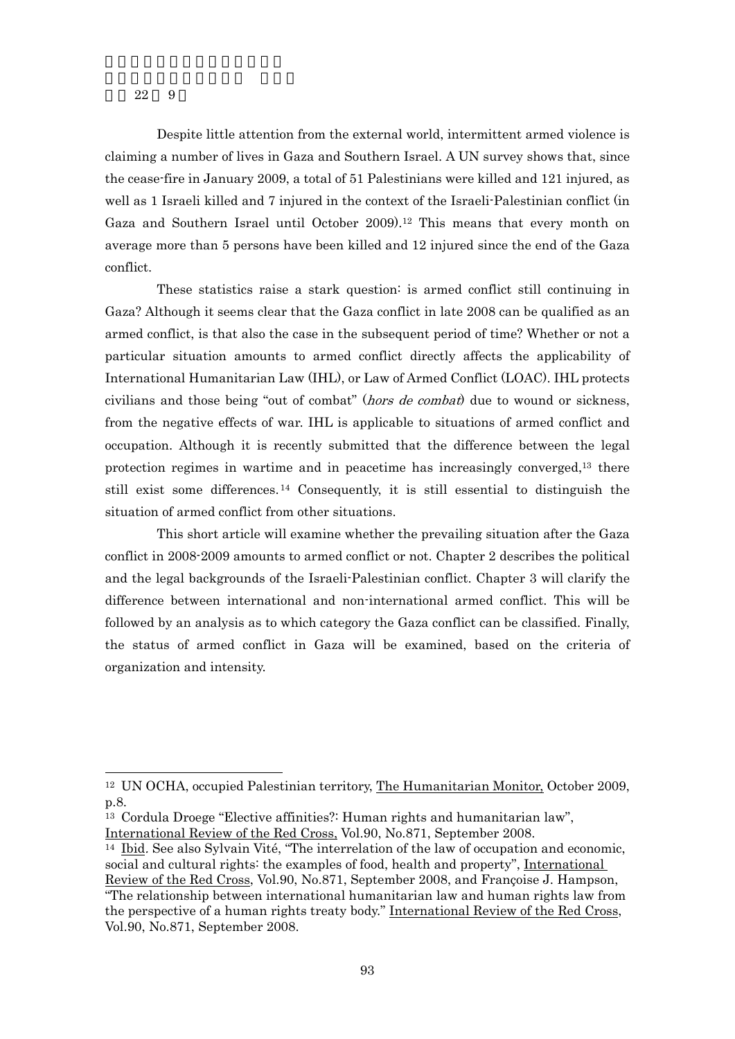-

 Despite little attention from the external world, intermittent armed violence is claiming a number of lives in Gaza and Southern Israel. A UN survey shows that, since the cease-fire in January 2009, a total of 51 Palestinians were killed and 121 injured, as well as 1 Israeli killed and 7 injured in the context of the Israeli-Palestinian conflict (in Gaza and Southern Israel until October 2009).12 This means that every month on average more than 5 persons have been killed and 12 injured since the end of the Gaza conflict.

 These statistics raise a stark question: is armed conflict still continuing in Gaza? Although it seems clear that the Gaza conflict in late 2008 can be qualified as an armed conflict, is that also the case in the subsequent period of time? Whether or not a particular situation amounts to armed conflict directly affects the applicability of International Humanitarian Law (IHL), or Law of Armed Conflict (LOAC). IHL protects civilians and those being "out of combat" (*hors de combat*) due to wound or sickness, from the negative effects of war. IHL is applicable to situations of armed conflict and occupation. Although it is recently submitted that the difference between the legal protection regimes in wartime and in peacetime has increasingly converged,13 there still exist some differences. 14 Consequently, it is still essential to distinguish the situation of armed conflict from other situations.

 This short article will examine whether the prevailing situation after the Gaza conflict in 2008-2009 amounts to armed conflict or not. Chapter 2 describes the political and the legal backgrounds of the Israeli-Palestinian conflict. Chapter 3 will clarify the difference between international and non-international armed conflict. This will be followed by an analysis as to which category the Gaza conflict can be classified. Finally, the status of armed conflict in Gaza will be examined, based on the criteria of organization and intensity.

<sup>&</sup>lt;sup>12</sup> UN OCHA, occupied Palestinian territory, The Humanitarian Monitor, October 2009, p.8.

<sup>13</sup> Cordula Droege "Elective affinities?: Human rights and humanitarian law", International Review of the Red Cross, Vol.90, No.871, September 2008.

<sup>14</sup> Ibid. See also Sylvain Vité, "The interrelation of the law of occupation and economic, social and cultural rights: the examples of food, health and property", International Review of the Red Cross, Vol.90, No.871, September 2008, and Françoise J. Hampson, "The relationship between international humanitarian law and human rights law from the perspective of a human rights treaty body." International Review of the Red Cross, Vol.90, No.871, September 2008.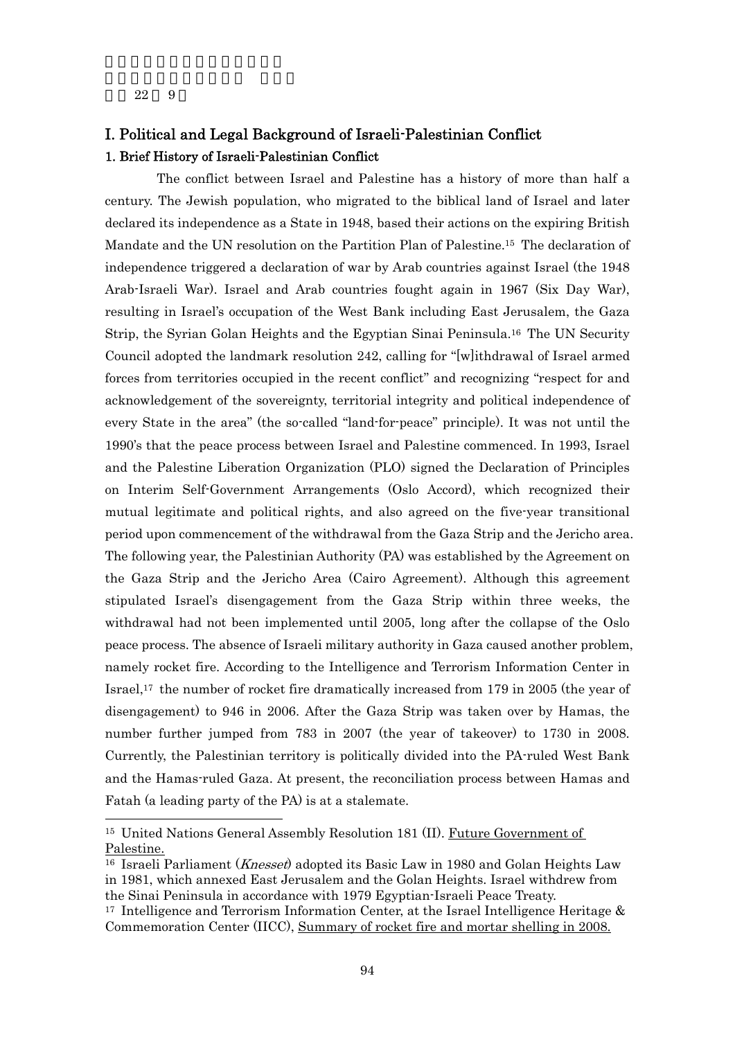-

# I. Political and Legal Background of Israeli-Palestinian Conflict 1. Brief History of Israeli-Palestinian Conflict

 The conflict between Israel and Palestine has a history of more than half a century. The Jewish population, who migrated to the biblical land of Israel and later declared its independence as a State in 1948, based their actions on the expiring British Mandate and the UN resolution on the Partition Plan of Palestine.15 The declaration of independence triggered a declaration of war by Arab countries against Israel (the 1948 Arab-Israeli War). Israel and Arab countries fought again in 1967 (Six Day War), resulting in Israel's occupation of the West Bank including East Jerusalem, the Gaza Strip, the Syrian Golan Heights and the Egyptian Sinai Peninsula.16 The UN Security Council adopted the landmark resolution 242, calling for "[w]ithdrawal of Israel armed forces from territories occupied in the recent conflict" and recognizing "respect for and acknowledgement of the sovereignty, territorial integrity and political independence of every State in the area" (the so-called "land-for-peace" principle). It was not until the 1990's that the peace process between Israel and Palestine commenced. In 1993, Israel and the Palestine Liberation Organization (PLO) signed the Declaration of Principles on Interim Self-Government Arrangements (Oslo Accord), which recognized their mutual legitimate and political rights, and also agreed on the five-year transitional period upon commencement of the withdrawal from the Gaza Strip and the Jericho area. The following year, the Palestinian Authority (PA) was established by the Agreement on the Gaza Strip and the Jericho Area (Cairo Agreement). Although this agreement stipulated Israel's disengagement from the Gaza Strip within three weeks, the withdrawal had not been implemented until 2005, long after the collapse of the Oslo peace process. The absence of Israeli military authority in Gaza caused another problem, namely rocket fire. According to the Intelligence and Terrorism Information Center in Israel,17 the number of rocket fire dramatically increased from 179 in 2005 (the year of disengagement) to 946 in 2006. After the Gaza Strip was taken over by Hamas, the number further jumped from 783 in 2007 (the year of takeover) to 1730 in 2008. Currently, the Palestinian territory is politically divided into the PA-ruled West Bank and the Hamas-ruled Gaza. At present, the reconciliation process between Hamas and Fatah (a leading party of the PA) is at a stalemate.

<sup>15</sup> United Nations General Assembly Resolution 181 (II). Future Government of Palestine.

<sup>&</sup>lt;sup>16</sup> Israeli Parliament (*Knesset*) adopted its Basic Law in 1980 and Golan Heights Law in 1981, which annexed East Jerusalem and the Golan Heights. Israel withdrew from the Sinai Peninsula in accordance with 1979 Egyptian-Israeli Peace Treaty.

<sup>&</sup>lt;sup>17</sup> Intelligence and Terrorism Information Center, at the Israel Intelligence Heritage  $\&$ Commemoration Center (IICC), Summary of rocket fire and mortar shelling in 2008.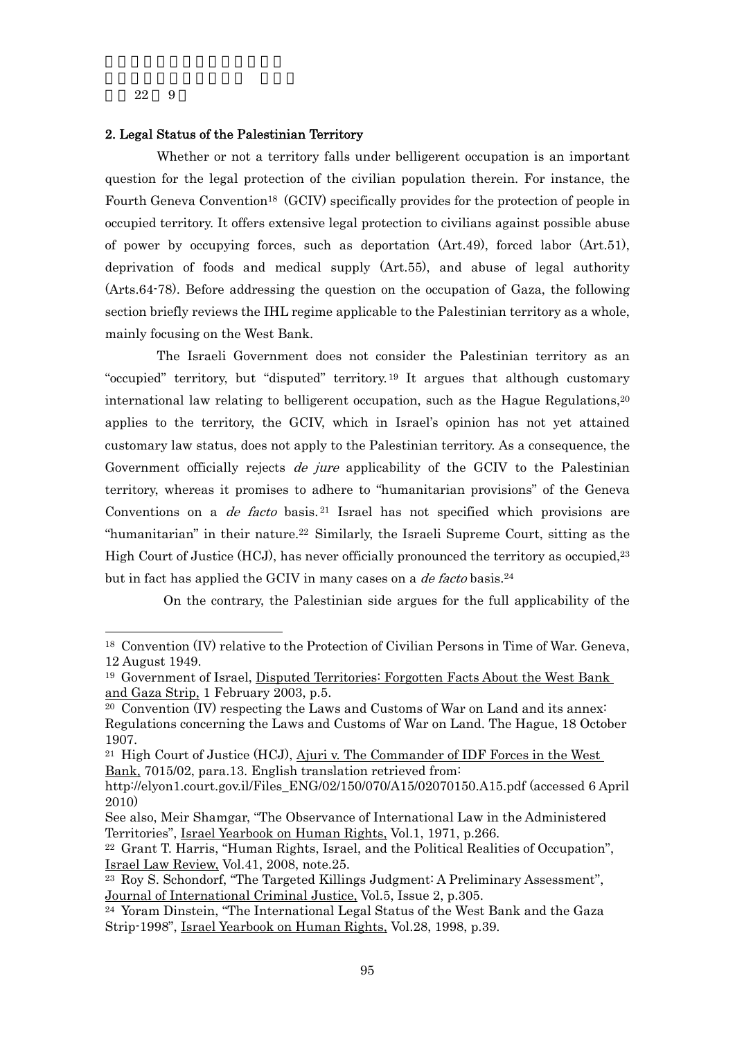-

### 2. Legal Status of the Palestinian Territory

 Whether or not a territory falls under belligerent occupation is an important question for the legal protection of the civilian population therein. For instance, the Fourth Geneva Convention<sup>18</sup> (GCIV) specifically provides for the protection of people in occupied territory. It offers extensive legal protection to civilians against possible abuse of power by occupying forces, such as deportation (Art.49), forced labor (Art.51), deprivation of foods and medical supply (Art.55), and abuse of legal authority (Arts.64-78). Before addressing the question on the occupation of Gaza, the following section briefly reviews the IHL regime applicable to the Palestinian territory as a whole, mainly focusing on the West Bank.

 The Israeli Government does not consider the Palestinian territory as an "occupied" territory, but "disputed" territory. 19 It argues that although customary international law relating to belligerent occupation, such as the Hague Regulations.<sup>20</sup> applies to the territory, the GCIV, which in Israel's opinion has not yet attained customary law status, does not apply to the Palestinian territory. As a consequence, the Government officially rejects *de jure* applicability of the GCIV to the Palestinian territory, whereas it promises to adhere to "humanitarian provisions" of the Geneva Conventions on a *de facto* basis.<sup>21</sup> Israel has not specified which provisions are "humanitarian" in their nature.<sup>22</sup> Similarly, the Israeli Supreme Court, sitting as the High Court of Justice (HCJ), has never officially pronounced the territory as occupied,<sup>23</sup> but in fact has applied the GCIV in many cases on a *de facto* basis.<sup>24</sup>

On the contrary, the Palestinian side argues for the full applicability of the

<sup>&</sup>lt;sup>18</sup> Convention (IV) relative to the Protection of Civilian Persons in Time of War. Geneva, 12 August 1949.

<sup>19</sup> Government of Israel, Disputed Territories: Forgotten Facts About the West Bank and Gaza Strip, 1 February 2003, p.5.

<sup>20</sup> Convention (IV) respecting the Laws and Customs of War on Land and its annex: Regulations concerning the Laws and Customs of War on Land. The Hague, 18 October 1907.

<sup>&</sup>lt;sup>21</sup> High Court of Justice (HCJ),  $\overline{A}$ juri v. The Commander of IDF Forces in the West Bank, 7015/02, para.13. English translation retrieved from:

http://elyon1.court.gov.il/Files\_ENG/02/150/070/A15/02070150.A15.pdf (accessed 6 April 2010)

See also, Meir Shamgar, "The Observance of International Law in the Administered Territories", Israel Yearbook on Human Rights, Vol.1, 1971, p.266.

<sup>22</sup> Grant T. Harris, "Human Rights, Israel, and the Political Realities of Occupation", Israel Law Review, Vol.41, 2008, note.25.

<sup>23</sup> Roy S. Schondorf, "The Targeted Killings Judgment: A Preliminary Assessment", Journal of International Criminal Justice, Vol.5, Issue 2, p.305.

<sup>24</sup> Yoram Dinstein, "The International Legal Status of the West Bank and the Gaza Strip-1998", Israel Yearbook on Human Rights, Vol.28, 1998, p.39.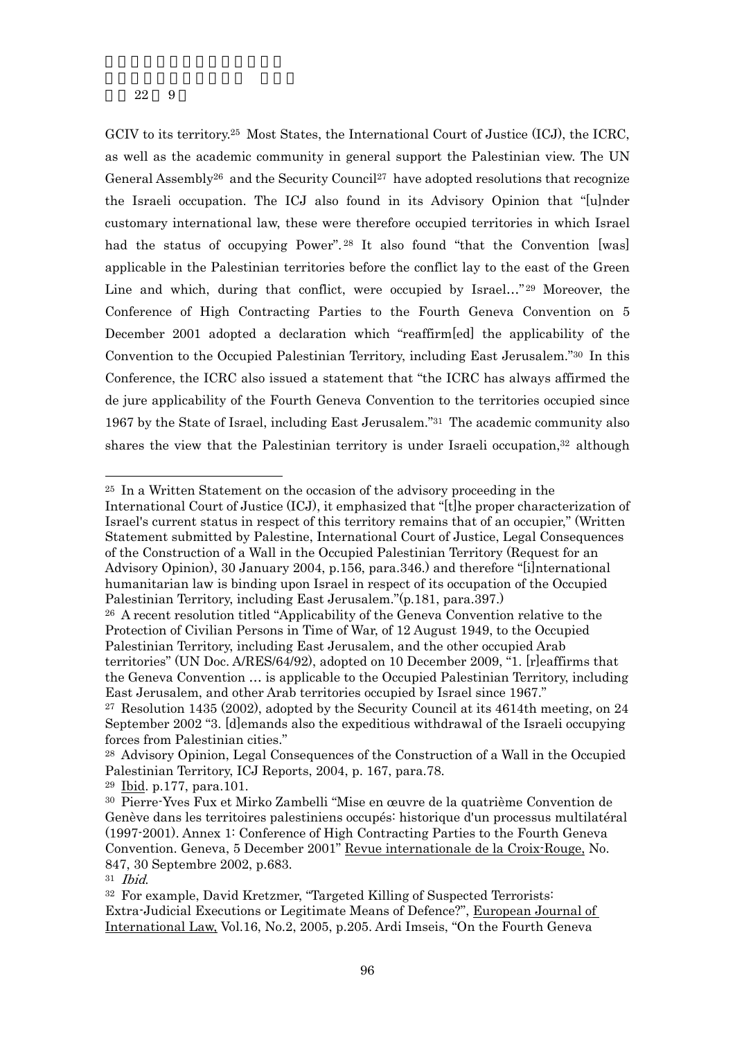GCIV to its territory.25 Most States, the International Court of Justice (ICJ), the ICRC, as well as the academic community in general support the Palestinian view. The UN General Assembly<sup>26</sup> and the Security Council<sup>27</sup> have adopted resolutions that recognize the Israeli occupation. The ICJ also found in its Advisory Opinion that "[u]nder customary international law, these were therefore occupied territories in which Israel had the status of occupying Power".<sup>28</sup> It also found "that the Convention [was] applicable in the Palestinian territories before the conflict lay to the east of the Green Line and which, during that conflict, were occupied by Israel..."<sup>29</sup> Moreover, the Conference of High Contracting Parties to the Fourth Geneva Convention on 5 December 2001 adopted a declaration which "reaffirm[ed] the applicability of the Convention to the Occupied Palestinian Territory, including East Jerusalem."30 In this Conference, the ICRC also issued a statement that "the ICRC has always affirmed the de jure applicability of the Fourth Geneva Convention to the territories occupied since 1967 by the State of Israel, including East Jerusalem."31 The academic community also shares the view that the Palestinian territory is under Israeli occupation,<sup>32</sup> although

<sup>25</sup> In a Written Statement on the occasion of the advisory proceeding in the

International Court of Justice (ICJ), it emphasized that "[t]he proper characterization of Israel's current status in respect of this territory remains that of an occupier," (Written Statement submitted by Palestine, International Court of Justice, Legal Consequences of the Construction of a Wall in the Occupied Palestinian Territory (Request for an Advisory Opinion), 30 January 2004, p.156, para.346.) and therefore "[i]nternational humanitarian law is binding upon Israel in respect of its occupation of the Occupied Palestinian Territory, including East Jerusalem."(p.181, para.397.)

<sup>26</sup> A recent resolution titled "Applicability of the Geneva Convention relative to the Protection of Civilian Persons in Time of War, of 12 August 1949, to the Occupied Palestinian Territory, including East Jerusalem, and the other occupied Arab territories" (UN Doc. A/RES/64/92), adopted on 10 December 2009, "1. [r]eaffirms that the Geneva Convention … is applicable to the Occupied Palestinian Territory, including East Jerusalem, and other Arab territories occupied by Israel since 1967."

<sup>27</sup> Resolution 1435 (2002), adopted by the Security Council at its 4614th meeting, on 24 September 2002 "3. [d]emands also the expeditious withdrawal of the Israeli occupying forces from Palestinian cities."

<sup>28</sup> Advisory Opinion, Legal Consequences of the Construction of a Wall in the Occupied Palestinian Territory, ICJ Reports, 2004, p. 167, para.78.

<sup>29</sup> Ibid. p.177, para.101.

<sup>30</sup> Pierre-Yves Fux et Mirko Zambelli "Mise en œuvre de la quatrième Convention de Genève dans les territoires palestiniens occupés: historique d'un processus multilatéral (1997-2001). Annex 1: Conference of High Contracting Parties to the Fourth Geneva Convention. Geneva, 5 December 2001" Revue internationale de la Croix-Rouge, No. 847, 30 Septembre 2002, p.683.

 $31$  *Ibid.*<br> $32$  For example, David Kretzmer, "Targeted Killing of Suspected Terrorists: Extra-Judicial Executions or Legitimate Means of Defence?", European Journal of International Law, Vol.16, No.2, 2005, p.205. Ardi Imseis, "On the Fourth Geneva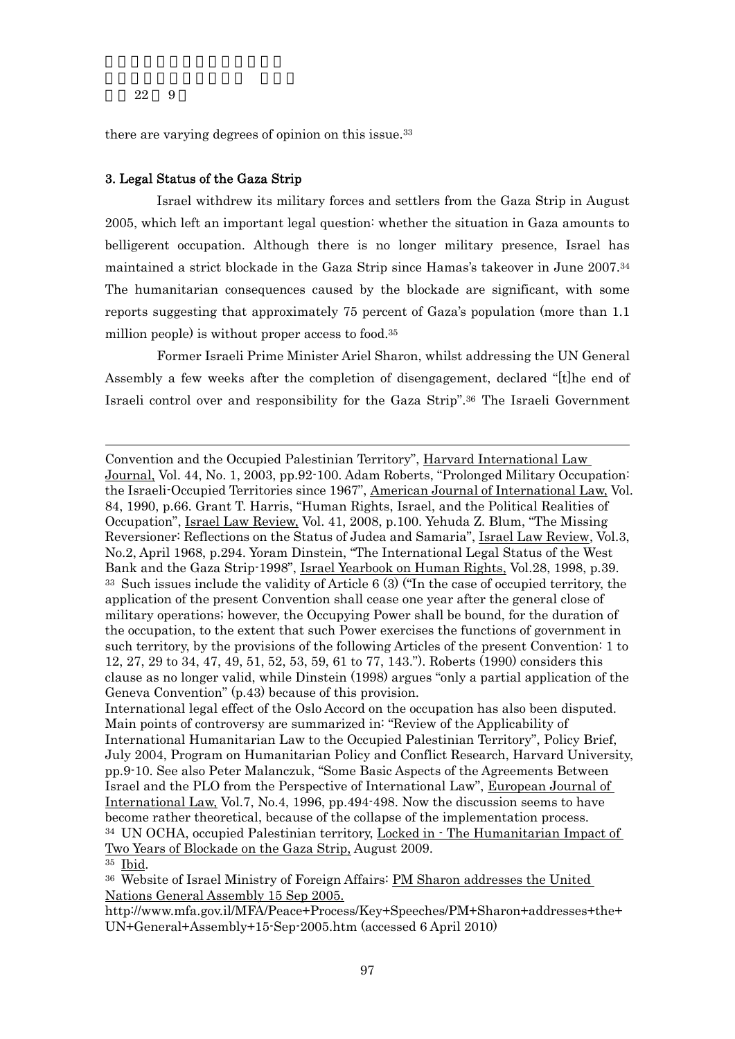there are varying degrees of opinion on this issue.<sup>33</sup>

### 3. Legal Status of the Gaza Strip

 Israel withdrew its military forces and settlers from the Gaza Strip in August 2005, which left an important legal question: whether the situation in Gaza amounts to belligerent occupation. Although there is no longer military presence, Israel has maintained a strict blockade in the Gaza Strip since Hamas's takeover in June 2007.34 The humanitarian consequences caused by the blockade are significant, with some reports suggesting that approximately 75 percent of Gaza's population (more than 1.1 million people) is without proper access to food.35

 Former Israeli Prime Minister Ariel Sharon, whilst addressing the UN General Assembly a few weeks after the completion of disengagement, declared "[t]he end of Israeli control over and responsibility for the Gaza Strip".36 The Israeli Government

Convention and the Occupied Palestinian Territory", Harvard International Law Journal, Vol. 44, No. 1, 2003, pp.92-100. Adam Roberts, "Prolonged Military Occupation: the Israeli-Occupied Territories since 1967", American Journal of International Law, Vol. 84, 1990, p.66. Grant T. Harris, "Human Rights, Israel, and the Political Realities of Occupation", Israel Law Review, Vol. 41, 2008, p.100. Yehuda Z. Blum, "The Missing Reversioner: Reflections on the Status of Judea and Samaria", Israel Law Review, Vol.3, No.2, April 1968, p.294. Yoram Dinstein, "The International Legal Status of the West Bank and the Gaza Strip-1998", Israel Yearbook on Human Rights, Vol.28, 1998, p.39. <sup>33</sup> Such issues include the validity of Article 6 (3) ("In the case of occupied territory, the application of the present Convention shall cease one year after the general close of military operations; however, the Occupying Power shall be bound, for the duration of the occupation, to the extent that such Power exercises the functions of government in such territory, by the provisions of the following Articles of the present Convention: 1 to 12, 27, 29 to 34, 47, 49, 51, 52, 53, 59, 61 to 77, 143."). Roberts (1990) considers this clause as no longer valid, while Dinstein (1998) argues "only a partial application of the Geneva Convention" (p.43) because of this provision.

International legal effect of the Oslo Accord on the occupation has also been disputed. Main points of controversy are summarized in: "Review of the Applicability of International Humanitarian Law to the Occupied Palestinian Territory", Policy Brief, July 2004, Program on Humanitarian Policy and Conflict Research, Harvard University, pp.9-10. See also Peter Malanczuk, "Some Basic Aspects of the Agreements Between Israel and the PLO from the Perspective of International Law", European Journal of International Law, Vol.7, No.4, 1996, pp.494-498. Now the discussion seems to have become rather theoretical, because of the collapse of the implementation process. <sup>34</sup> UN OCHA, occupied Palestinian territory, Locked in  $\cdot$  The Humanitarian Impact of Two Years of Blockade on the Gaza Strip, August 2009.

<sup>35</sup> Ibid.

<sup>36</sup> Website of Israel Ministry of Foreign Affairs: PM Sharon addresses the United Nations General Assembly 15 Sep 2005.

http://www.mfa.gov.il/MFA/Peace+Process/Key+Speeches/PM+Sharon+addresses+the+ UN+General+Assembly+15-Sep-2005.htm (accessed 6 April 2010)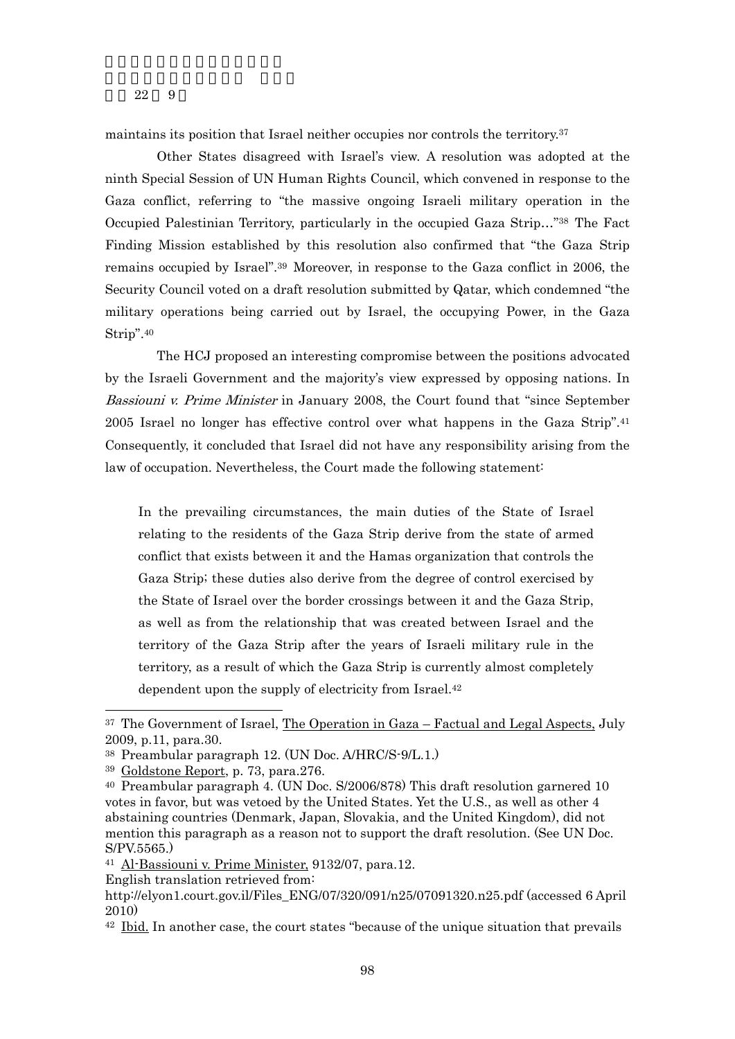maintains its position that Israel neither occupies nor controls the territory.<sup>37</sup>

 Other States disagreed with Israel's view. A resolution was adopted at the ninth Special Session of UN Human Rights Council, which convened in response to the Gaza conflict, referring to "the massive ongoing Israeli military operation in the Occupied Palestinian Territory, particularly in the occupied Gaza Strip…"38 The Fact Finding Mission established by this resolution also confirmed that "the Gaza Strip remains occupied by Israel".39 Moreover, in response to the Gaza conflict in 2006, the Security Council voted on a draft resolution submitted by Qatar, which condemned "the military operations being carried out by Israel, the occupying Power, in the Gaza Strip".40

The HCJ proposed an interesting compromise between the positions advocated by the Israeli Government and the majority's view expressed by opposing nations. In Bassiouni v. Prime Minister in January 2008, the Court found that "since September" 2005 Israel no longer has effective control over what happens in the Gaza Strip".41 Consequently, it concluded that Israel did not have any responsibility arising from the law of occupation. Nevertheless, the Court made the following statement:

In the prevailing circumstances, the main duties of the State of Israel relating to the residents of the Gaza Strip derive from the state of armed conflict that exists between it and the Hamas organization that controls the Gaza Strip; these duties also derive from the degree of control exercised by the State of Israel over the border crossings between it and the Gaza Strip, as well as from the relationship that was created between Israel and the territory of the Gaza Strip after the years of Israeli military rule in the territory, as a result of which the Gaza Strip is currently almost completely dependent upon the supply of electricity from Israel.42

-

English translation retrieved from:

<sup>37</sup> The Government of Israel, The Operation in Gaza – Factual and Legal Aspects, July 2009, p.11, para.30.

<sup>38</sup> Preambular paragraph 12. (UN Doc. A/HRC/S-9/L.1.)

<sup>39</sup> Goldstone Report, p. 73, para.276.

<sup>40</sup> Preambular paragraph 4. (UN Doc. S/2006/878) This draft resolution garnered 10 votes in favor, but was vetoed by the United States. Yet the U.S., as well as other 4 abstaining countries (Denmark, Japan, Slovakia, and the United Kingdom), did not mention this paragraph as a reason not to support the draft resolution. (See UN Doc. S/PV.5565.)

<sup>41</sup> Al-Bassiouni v. Prime Minister, 9132/07, para.12.

http://elyon1.court.gov.il/Files\_ENG/07/320/091/n25/07091320.n25.pdf (accessed 6 April 2010)

<sup>42</sup> Ibid. In another case, the court states "because of the unique situation that prevails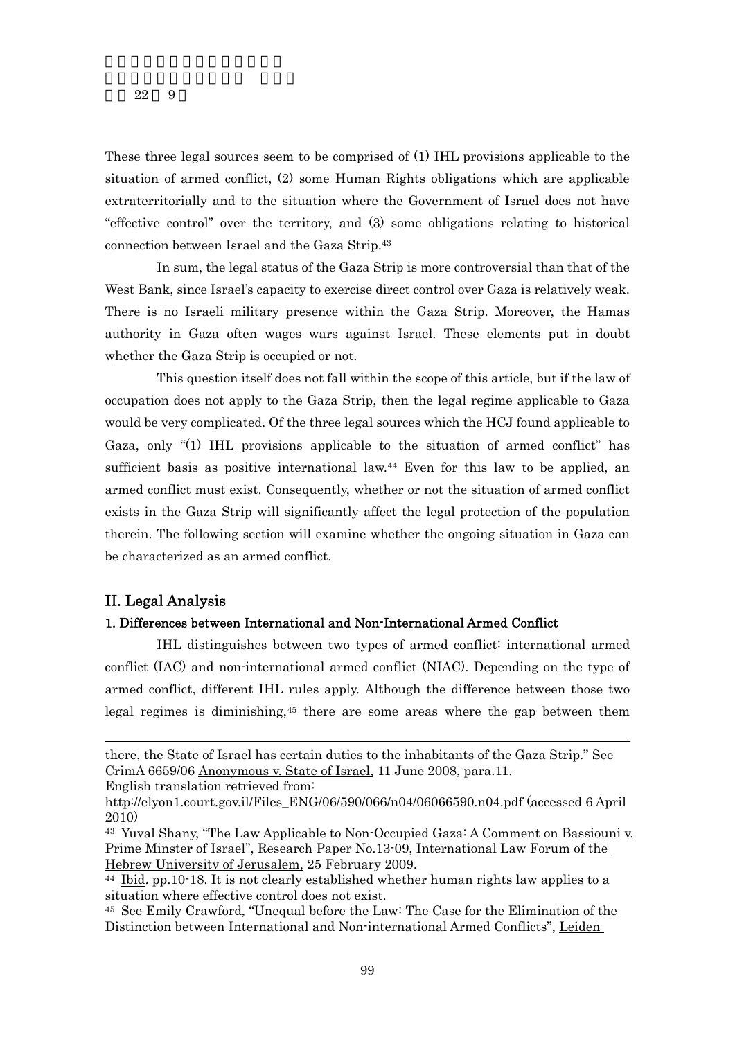These three legal sources seem to be comprised of (1) IHL provisions applicable to the situation of armed conflict, (2) some Human Rights obligations which are applicable extraterritorially and to the situation where the Government of Israel does not have "effective control" over the territory, and (3) some obligations relating to historical connection between Israel and the Gaza Strip.43

 In sum, the legal status of the Gaza Strip is more controversial than that of the West Bank, since Israel's capacity to exercise direct control over Gaza is relatively weak. There is no Israeli military presence within the Gaza Strip. Moreover, the Hamas authority in Gaza often wages wars against Israel. These elements put in doubt whether the Gaza Strip is occupied or not.

 This question itself does not fall within the scope of this article, but if the law of occupation does not apply to the Gaza Strip, then the legal regime applicable to Gaza would be very complicated. Of the three legal sources which the HCJ found applicable to Gaza, only "(1) IHL provisions applicable to the situation of armed conflict" has sufficient basis as positive international law.44 Even for this law to be applied, an armed conflict must exist. Consequently, whether or not the situation of armed conflict exists in the Gaza Strip will significantly affect the legal protection of the population therein. The following section will examine whether the ongoing situation in Gaza can be characterized as an armed conflict.

## II. Legal Analysis

-

## 1. Differences between International and Non-International Armed Conflict

 IHL distinguishes between two types of armed conflict: international armed conflict (IAC) and non-international armed conflict (NIAC). Depending on the type of armed conflict, different IHL rules apply. Although the difference between those two legal regimes is diminishing,45 there are some areas where the gap between them

English translation retrieved from:

there, the State of Israel has certain duties to the inhabitants of the Gaza Strip." See CrimA 6659/06 Anonymous v. State of Israel, 11 June 2008, para.11.

http://elyon1.court.gov.il/Files\_ENG/06/590/066/n04/06066590.n04.pdf (accessed 6 April 2010)

<sup>43</sup> Yuval Shany, "The Law Applicable to Non-Occupied Gaza: A Comment on Bassiouni v. Prime Minster of Israel", Research Paper No.13-09, International Law Forum of the Hebrew University of Jerusalem, 25 February 2009.

 $^{44}$  Ibid. pp.10-18. It is not clearly established whether human rights law applies to a situation where effective control does not exist.

<sup>45</sup> See Emily Crawford, "Unequal before the Law: The Case for the Elimination of the Distinction between International and Non-international Armed Conflicts", Leiden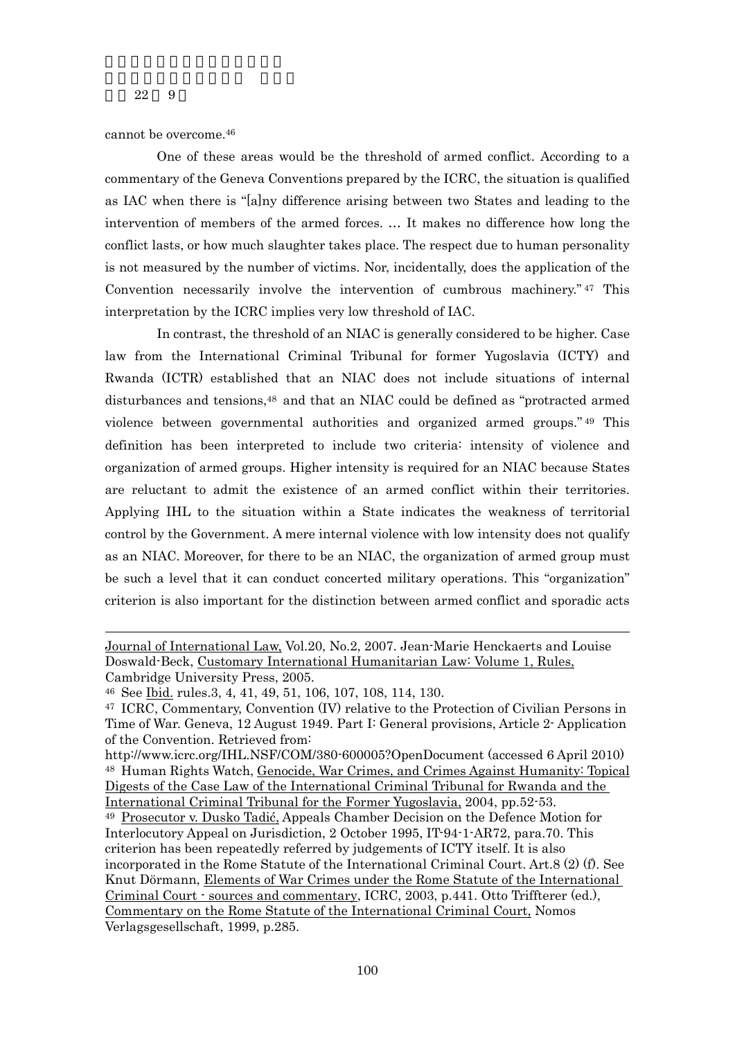cannot be overcome.46

One of these areas would be the threshold of armed conflict. According to a commentary of the Geneva Conventions prepared by the ICRC, the situation is qualified as IAC when there is "[a]ny difference arising between two States and leading to the intervention of members of the armed forces. … It makes no difference how long the conflict lasts, or how much slaughter takes place. The respect due to human personality is not measured by the number of victims. Nor, incidentally, does the application of the Convention necessarily involve the intervention of cumbrous machinery." 47 This interpretation by the ICRC implies very low threshold of IAC.

In contrast, the threshold of an NIAC is generally considered to be higher. Case law from the International Criminal Tribunal for former Yugoslavia (ICTY) and Rwanda (ICTR) established that an NIAC does not include situations of internal disturbances and tensions,48 and that an NIAC could be defined as "protracted armed violence between governmental authorities and organized armed groups." 49 This definition has been interpreted to include two criteria: intensity of violence and organization of armed groups. Higher intensity is required for an NIAC because States are reluctant to admit the existence of an armed conflict within their territories. Applying IHL to the situation within a State indicates the weakness of territorial control by the Government. A mere internal violence with low intensity does not qualify as an NIAC. Moreover, for there to be an NIAC, the organization of armed group must be such a level that it can conduct concerted military operations. This "organization" criterion is also important for the distinction between armed conflict and sporadic acts

Journal of International Law, Vol.20, No.2, 2007. Jean-Marie Henckaerts and Louise Doswald-Beck, Customary International Humanitarian Law: Volume 1, Rules,

Cambridge University Press, 2005.

<sup>46</sup> See Ibid. rules.3, 4, 41, 49, 51, 106, 107, 108, 114, 130.

<sup>47</sup> ICRC, Commentary, Convention (IV) relative to the Protection of Civilian Persons in Time of War. Geneva, 12 August 1949. Part I: General provisions, Article 2- Application of the Convention. Retrieved from:

http://www.icrc.org/IHL.NSF/COM/380-600005?OpenDocument (accessed 6 April 2010) 48 Human Rights Watch, Genocide, War Crimes, and Crimes Against Humanity: Topical Digests of the Case Law of the International Criminal Tribunal for Rwanda and the International Criminal Tribunal for the Former Yugoslavia, 2004, pp.52-53.

<sup>49</sup> Prosecutor v. Dusko Tadić, Appeals Chamber Decision on the Defence Motion for Interlocutory Appeal on Jurisdiction, 2 October 1995, IT-94-1-AR72, para.70. This criterion has been repeatedly referred by judgements of ICTY itself. It is also incorporated in the Rome Statute of the International Criminal Court. Art.8 (2) (f). See Knut Dörmann, Elements of War Crimes under the Rome Statute of the International Criminal Court - sources and commentary, ICRC, 2003, p.441. Otto Triffterer (ed.), Commentary on the Rome Statute of the International Criminal Court, Nomos Verlagsgesellschaft, 1999, p.285.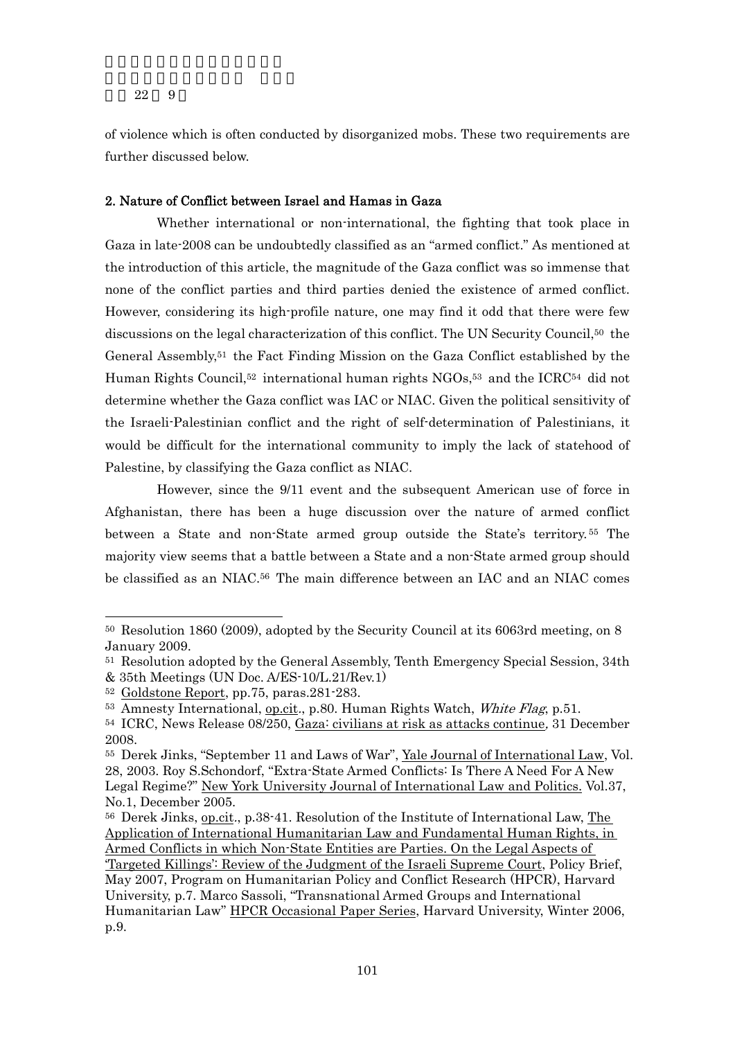of violence which is often conducted by disorganized mobs. These two requirements are further discussed below.

## 2. Nature of Conflict between Israel and Hamas in Gaza

 Whether international or non-international, the fighting that took place in Gaza in late-2008 can be undoubtedly classified as an "armed conflict." As mentioned at the introduction of this article, the magnitude of the Gaza conflict was so immense that none of the conflict parties and third parties denied the existence of armed conflict. However, considering its high-profile nature, one may find it odd that there were few discussions on the legal characterization of this conflict. The UN Security Council,50 the General Assembly,51 the Fact Finding Mission on the Gaza Conflict established by the Human Rights Council,<sup>52</sup> international human rights NGOs,<sup>53</sup> and the ICRC<sup>54</sup> did not determine whether the Gaza conflict was IAC or NIAC. Given the political sensitivity of the Israeli-Palestinian conflict and the right of self-determination of Palestinians, it would be difficult for the international community to imply the lack of statehood of Palestine, by classifying the Gaza conflict as NIAC.

However, since the 9/11 event and the subsequent American use of force in Afghanistan, there has been a huge discussion over the nature of armed conflict between a State and non-State armed group outside the State's territory. 55 The majority view seems that a battle between a State and a non-State armed group should be classified as an NIAC.56 The main difference between an IAC and an NIAC comes

<sup>50</sup> Resolution 1860 (2009), adopted by the Security Council at its 6063rd meeting, on 8 January 2009.

<sup>51</sup> Resolution adopted by the General Assembly, Tenth Emergency Special Session, 34th

<sup>&</sup>amp; 35th Meetings (UN Doc. A/ES-10/L.21/Rev.1)

<sup>52</sup> Goldstone Report, pp.75, paras.281-283.

<sup>53</sup> Amnesty International, op.cit., p.80. Human Rights Watch, White Flag, p.51.

<sup>&</sup>lt;sup>54</sup> ICRC, News Release 08/250, Gaza: civilians at risk as attacks continue, 31 December 2008.

<sup>&</sup>lt;sup>55</sup> Derek Jinks, "September 11 and Laws of War", Yale Journal of International Law, Vol. 28, 2003. Roy S.Schondorf, "Extra-State Armed Conflicts: Is There A Need For A New Legal Regime?" New York University Journal of International Law and Politics. Vol.37, No.1, December 2005.

<sup>56</sup> Derek Jinks, op.cit., p.38-41. Resolution of the Institute of International Law, The Application of International Humanitarian Law and Fundamental Human Rights, in Armed Conflicts in which Non-State Entities are Parties. On the Legal Aspects of 'Targeted Killings': Review of the Judgment of the Israeli Supreme Court, Policy Brief, May 2007, Program on Humanitarian Policy and Conflict Research (HPCR), Harvard University, p.7. Marco Sassoli, "Transnational Armed Groups and International Humanitarian Law" HPCR Occasional Paper Series, Harvard University, Winter 2006, p.9.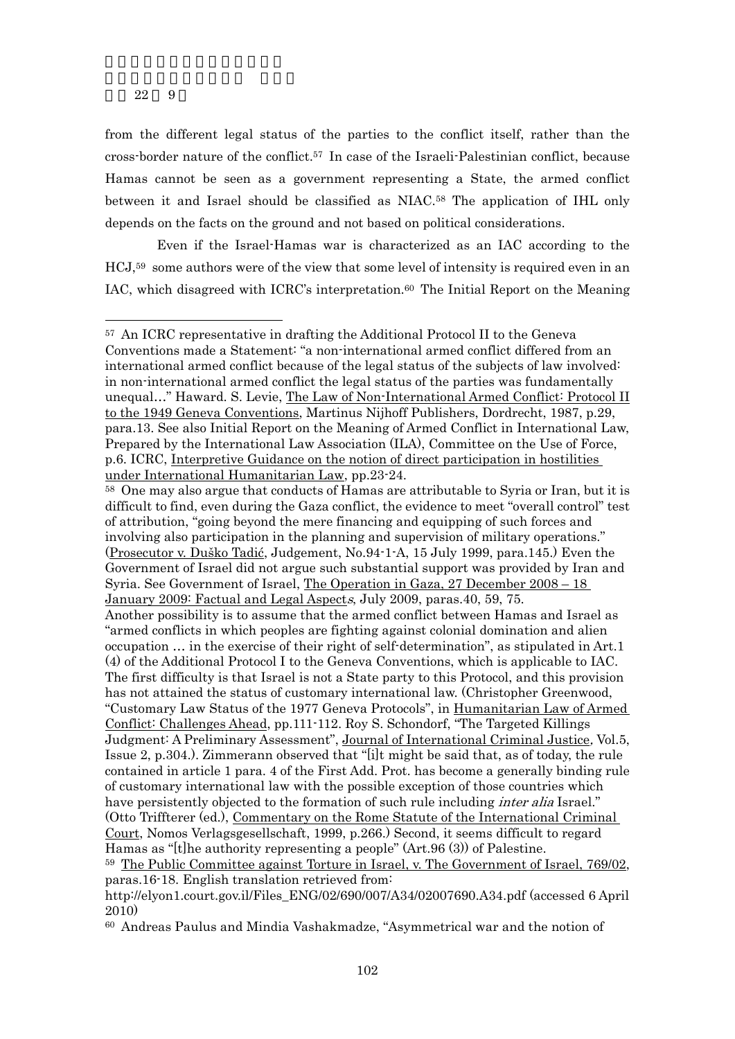-

from the different legal status of the parties to the conflict itself, rather than the cross-border nature of the conflict.57 In case of the Israeli-Palestinian conflict, because Hamas cannot be seen as a government representing a State, the armed conflict between it and Israel should be classified as NIAC.58 The application of IHL only depends on the facts on the ground and not based on political considerations.

 Even if the Israel-Hamas war is characterized as an IAC according to the HCJ,59 some authors were of the view that some level of intensity is required even in an IAC, which disagreed with ICRC's interpretation.<sup>60</sup> The Initial Report on the Meaning

<sup>57</sup> An ICRC representative in drafting the Additional Protocol II to the Geneva Conventions made a Statement: "a non-international armed conflict differed from an international armed conflict because of the legal status of the subjects of law involved: in non-international armed conflict the legal status of the parties was fundamentally unequal..." Haward. S. Levie, The Law of Non-International Armed Conflict: Protocol II to the 1949 Geneva Conventions, Martinus Nijhoff Publishers, Dordrecht, 1987, p.29, para.13. See also Initial Report on the Meaning of Armed Conflict in International Law, Prepared by the International Law Association (ILA), Committee on the Use of Force, p.6. ICRC, Interpretive Guidance on the notion of direct participation in hostilities under International Humanitarian Law, pp.23-24.

<sup>&</sup>lt;sup>58</sup> One may also argue that conducts of Hamas are attributable to Syria or Iran, but it is difficult to find, even during the Gaza conflict, the evidence to meet "overall control" test of attribution, "going beyond the mere financing and equipping of such forces and involving also participation in the planning and supervision of military operations." (Prosecutor v. Duško Tadić, Judgement, No.94-1-A, 15 July 1999, para.145.) Even the Government of Israel did not argue such substantial support was provided by Iran and Syria. See Government of Israel, The Operation in Gaza, 27 December 2008 – 18 January 2009: Factual and Legal Aspects, July 2009, paras.40, 59, 75.

Another possibility is to assume that the armed conflict between Hamas and Israel as "armed conflicts in which peoples are fighting against colonial domination and alien occupation … in the exercise of their right of self-determination", as stipulated in Art.1 (4) of the Additional Protocol I to the Geneva Conventions, which is applicable to IAC. The first difficulty is that Israel is not a State party to this Protocol, and this provision has not attained the status of customary international law. (Christopher Greenwood, "Customary Law Status of the 1977 Geneva Protocols", in Humanitarian Law of Armed Conflict: Challenges Ahead, pp.111-112. Roy S. Schondorf, "The Targeted Killings Judgment: A Preliminary Assessment", Journal of International Criminal Justice, Vol.5, Issue 2, p.304.). Zimmerann observed that "[i]t might be said that, as of today, the rule contained in article 1 para. 4 of the First Add. Prot. has become a generally binding rule of customary international law with the possible exception of those countries which have persistently objected to the formation of such rule including *inter alia* Israel." (Otto Triffterer (ed.), Commentary on the Rome Statute of the International Criminal Court, Nomos Verlagsgesellschaft, 1999, p.266.) Second, it seems difficult to regard Hamas as "[t]he authority representing a people" (Art.96 (3)) of Palestine.

<sup>59</sup> The Public Committee against Torture in Israel, v. The Government of Israel, 769/02, paras.16-18. English translation retrieved from:

http://elyon1.court.gov.il/Files\_ENG/02/690/007/A34/02007690.A34.pdf (accessed 6 April 2010)

<sup>60</sup> Andreas Paulus and Mindia Vashakmadze, "Asymmetrical war and the notion of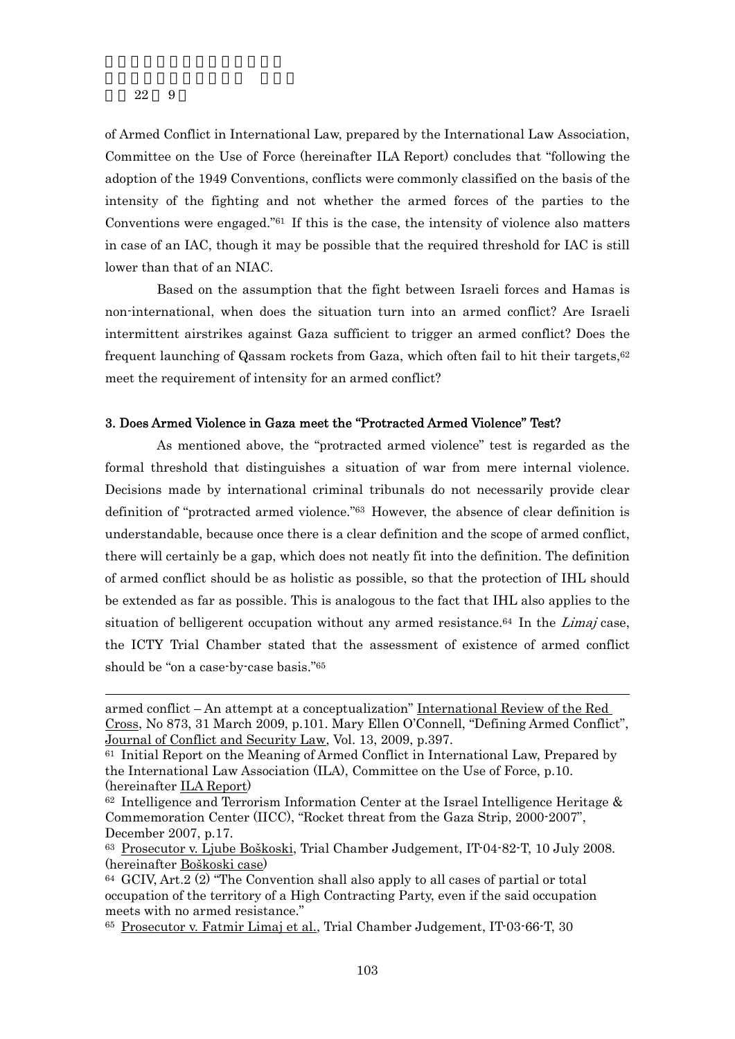-

of Armed Conflict in International Law, prepared by the International Law Association, Committee on the Use of Force (hereinafter ILA Report) concludes that "following the adoption of the 1949 Conventions, conflicts were commonly classified on the basis of the intensity of the fighting and not whether the armed forces of the parties to the Conventions were engaged." $61$  If this is the case, the intensity of violence also matters in case of an IAC, though it may be possible that the required threshold for IAC is still lower than that of an NIAC.

 Based on the assumption that the fight between Israeli forces and Hamas is non-international, when does the situation turn into an armed conflict? Are Israeli intermittent airstrikes against Gaza sufficient to trigger an armed conflict? Does the frequent launching of Qassam rockets from Gaza, which often fail to hit their targets,<sup>62</sup> meet the requirement of intensity for an armed conflict?

### 3. Does Armed Violence in Gaza meet the "Protracted Armed Violence" Test?

 As mentioned above, the "protracted armed violence" test is regarded as the formal threshold that distinguishes a situation of war from mere internal violence. Decisions made by international criminal tribunals do not necessarily provide clear definition of "protracted armed violence."63 However, the absence of clear definition is understandable, because once there is a clear definition and the scope of armed conflict, there will certainly be a gap, which does not neatly fit into the definition. The definition of armed conflict should be as holistic as possible, so that the protection of IHL should be extended as far as possible. This is analogous to the fact that IHL also applies to the situation of belligerent occupation without any armed resistance.<sup>64</sup> In the *Limaj* case, the ICTY Trial Chamber stated that the assessment of existence of armed conflict should be "on a case-by-case basis."65

armed conflict – An attempt at a conceptualization" International Review of the Red Cross, No 873, 31 March 2009, p.101. Mary Ellen O'Connell, "Defining Armed Conflict", Journal of Conflict and Security Law, Vol. 13, 2009, p.397.

<sup>61</sup> Initial Report on the Meaning of Armed Conflict in International Law, Prepared by the International Law Association (ILA), Committee on the Use of Force, p.10. (hereinafter ILA Report)

 $62$  Intelligence and Terrorism Information Center at the Israel Intelligence Heritage  $\&$ Commemoration Center (IICC), "Rocket threat from the Gaza Strip, 2000-2007", December 2007, p.17.

<sup>63</sup> Prosecutor v. Ljube Boškoski, Trial Chamber Judgement, IT-04-82-T, 10 July 2008. (hereinafter Boškoski case)

<sup>64</sup> GCIV, Art.2 (2) "The Convention shall also apply to all cases of partial or total occupation of the territory of a High Contracting Party, even if the said occupation meets with no armed resistance."

<sup>65</sup> Prosecutor v. Fatmir Limaj et al., Trial Chamber Judgement, IT-03-66-T, 30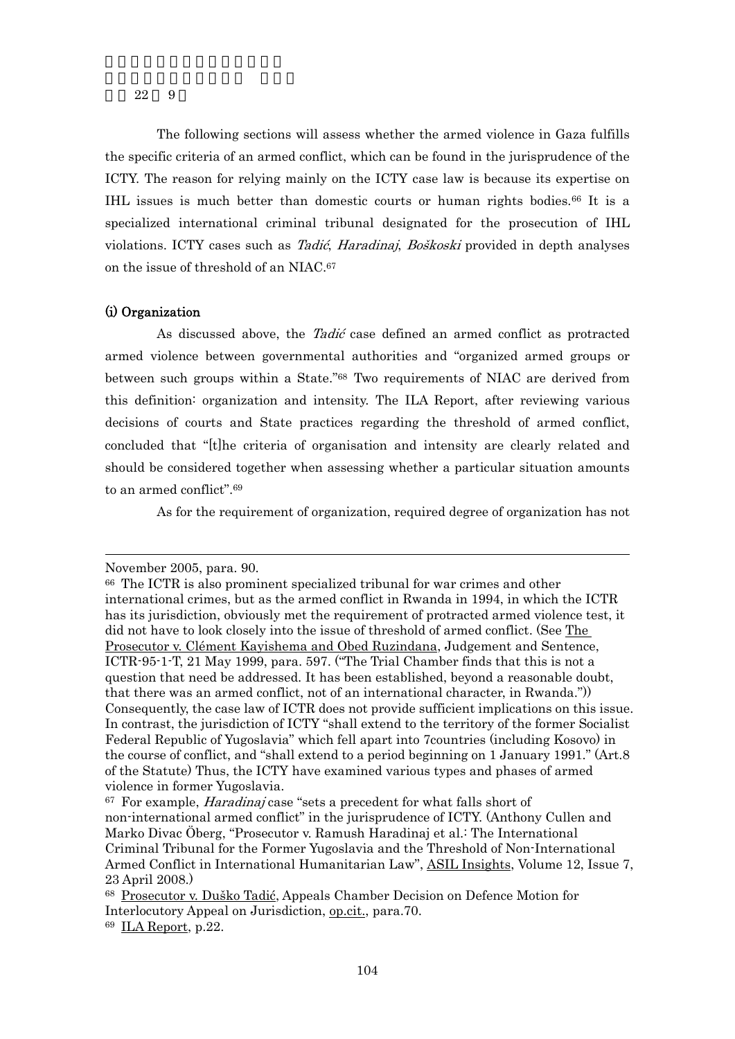The following sections will assess whether the armed violence in Gaza fulfills the specific criteria of an armed conflict, which can be found in the jurisprudence of the ICTY. The reason for relying mainly on the ICTY case law is because its expertise on IHL issues is much better than domestic courts or human rights bodies.66 It is a specialized international criminal tribunal designated for the prosecution of IHL violations. ICTY cases such as Tadić, Haradinaj, Boškoski provided in depth analyses on the issue of threshold of an NIAC.67

## (i) Organization

As discussed above, the *Tadić* case defined an armed conflict as protracted armed violence between governmental authorities and "organized armed groups or between such groups within a State."68 Two requirements of NIAC are derived from this definition: organization and intensity. The ILA Report, after reviewing various decisions of courts and State practices regarding the threshold of armed conflict, concluded that "[t]he criteria of organisation and intensity are clearly related and should be considered together when assessing whether a particular situation amounts to an armed conflict".69

As for the requirement of organization, required degree of organization has not

November 2005, para. 90.

<sup>66</sup> The ICTR is also prominent specialized tribunal for war crimes and other international crimes, but as the armed conflict in Rwanda in 1994, in which the ICTR has its jurisdiction, obviously met the requirement of protracted armed violence test, it did not have to look closely into the issue of threshold of armed conflict. (See The Prosecutor v. Clément Kayishema and Obed Ruzindana, Judgement and Sentence, ICTR-95-1-T, 21 May 1999, para. 597. ("The Trial Chamber finds that this is not a question that need be addressed. It has been established, beyond a reasonable doubt, that there was an armed conflict, not of an international character, in Rwanda.")) Consequently, the case law of ICTR does not provide sufficient implications on this issue. In contrast, the jurisdiction of ICTY "shall extend to the territory of the former Socialist Federal Republic of Yugoslavia" which fell apart into 7countries (including Kosovo) in the course of conflict, and "shall extend to a period beginning on 1 January 1991." (Art.8 of the Statute) Thus, the ICTY have examined various types and phases of armed violence in former Yugoslavia.

<sup>67</sup> For example, Haradinaj case "sets a precedent for what falls short of non-international armed conflict" in the jurisprudence of ICTY. (Anthony Cullen and Marko Divac Öberg, "Prosecutor v. Ramush Haradinaj et al.: The International Criminal Tribunal for the Former Yugoslavia and the Threshold of Non-International Armed Conflict in International Humanitarian Law", ASIL Insights, Volume 12, Issue 7, 23 April 2008.)

<sup>68</sup> Prosecutor v. Duško Tadić, Appeals Chamber Decision on Defence Motion for Interlocutory Appeal on Jurisdiction, op.cit., para.70. 69 ILA Report, p.22.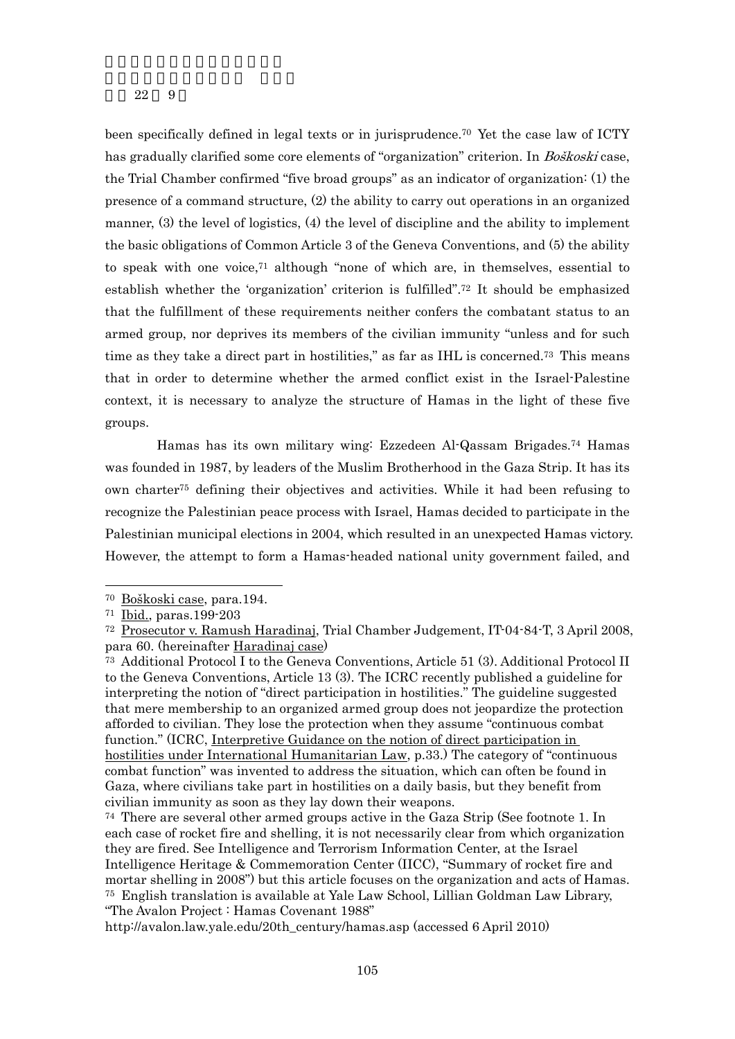been specifically defined in legal texts or in jurisprudence.70 Yet the case law of ICTY has gradually clarified some core elements of "organization" criterion. In *Boškoski* case, the Trial Chamber confirmed "five broad groups" as an indicator of organization: (1) the presence of a command structure, (2) the ability to carry out operations in an organized manner, (3) the level of logistics, (4) the level of discipline and the ability to implement the basic obligations of Common Article 3 of the Geneva Conventions, and (5) the ability to speak with one voice, $71$  although "none of which are, in themselves, essential to establish whether the 'organization' criterion is fulfilled".72 It should be emphasized that the fulfillment of these requirements neither confers the combatant status to an armed group, nor deprives its members of the civilian immunity "unless and for such time as they take a direct part in hostilities," as far as IHL is concerned.<sup>73</sup> This means that in order to determine whether the armed conflict exist in the Israel-Palestine context, it is necessary to analyze the structure of Hamas in the light of these five groups.

Hamas has its own military wing: Ezzedeen Al-Qassam Brigades.74 Hamas was founded in 1987, by leaders of the Muslim Brotherhood in the Gaza Strip. It has its own charter75 defining their objectives and activities. While it had been refusing to recognize the Palestinian peace process with Israel, Hamas decided to participate in the Palestinian municipal elections in 2004, which resulted in an unexpected Hamas victory. However, the attempt to form a Hamas-headed national unity government failed, and

<sup>70</sup> Boškoski case, para.194.

<sup>71</sup> Ibid., paras.199-203

<sup>72</sup> Prosecutor v. Ramush Haradinaj, Trial Chamber Judgement, IT-04-84-T, 3 April 2008, para 60. (hereinafter Haradinaj case)

<sup>73</sup> Additional Protocol I to the Geneva Conventions, Article 51 (3). Additional Protocol II to the Geneva Conventions, Article 13 (3). The ICRC recently published a guideline for interpreting the notion of "direct participation in hostilities." The guideline suggested that mere membership to an organized armed group does not jeopardize the protection afforded to civilian. They lose the protection when they assume "continuous combat function." (ICRC, Interpretive Guidance on the notion of direct participation in hostilities under International Humanitarian Law, p.33.) The category of "continuous combat function" was invented to address the situation, which can often be found in Gaza, where civilians take part in hostilities on a daily basis, but they benefit from civilian immunity as soon as they lay down their weapons.

<sup>74</sup> There are several other armed groups active in the Gaza Strip (See footnote 1. In each case of rocket fire and shelling, it is not necessarily clear from which organization they are fired. See Intelligence and Terrorism Information Center, at the Israel Intelligence Heritage & Commemoration Center (IICC), "Summary of rocket fire and mortar shelling in 2008") but this article focuses on the organization and acts of Hamas. 75 English translation is available at Yale Law School, Lillian Goldman Law Library, "The Avalon Project : Hamas Covenant 1988"

http://avalon.law.yale.edu/20th\_century/hamas.asp (accessed 6 April 2010)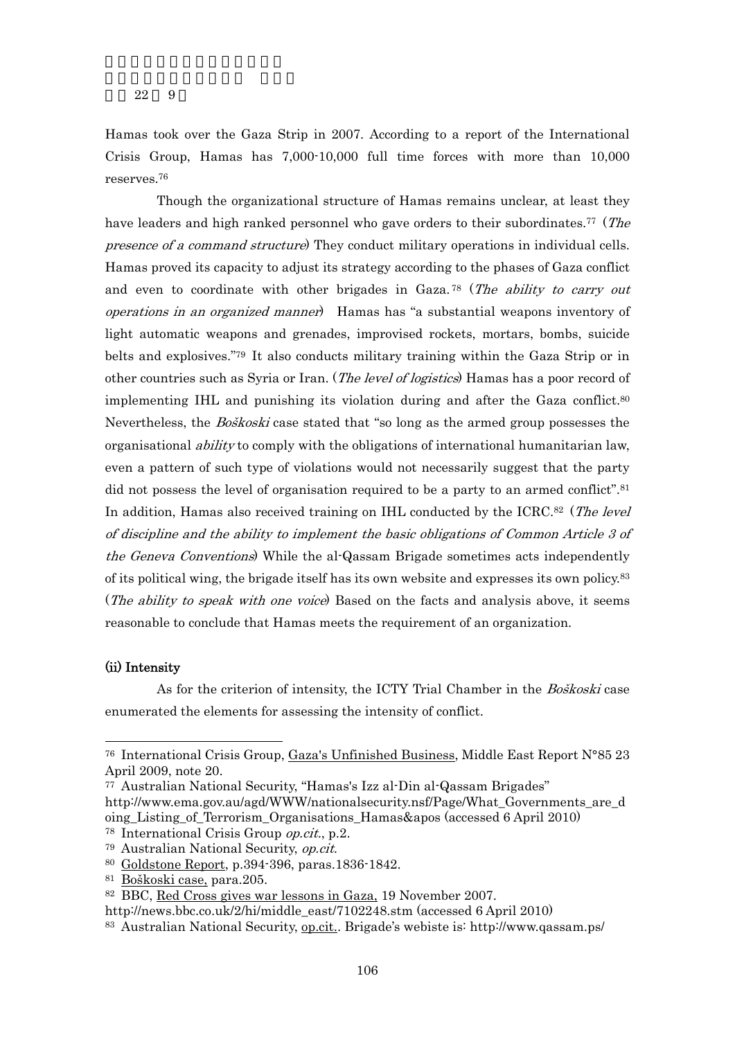Hamas took over the Gaza Strip in 2007. According to a report of the International Crisis Group, Hamas has 7,000-10,000 full time forces with more than 10,000 reserves.76

 Though the organizational structure of Hamas remains unclear, at least they have leaders and high ranked personnel who gave orders to their subordinates.<sup>77</sup> (The presence of a command structure) They conduct military operations in individual cells. Hamas proved its capacity to adjust its strategy according to the phases of Gaza conflict and even to coordinate with other brigades in Gaza.<sup>78</sup> (The ability to carry out operations in an organized manner) Hamas has "a substantial weapons inventory of light automatic weapons and grenades, improvised rockets, mortars, bombs, suicide belts and explosives."79 It also conducts military training within the Gaza Strip or in other countries such as Syria or Iran. (*The level of logistics*) Hamas has a poor record of implementing IHL and punishing its violation during and after the Gaza conflict.<sup>80</sup> Nevertheless, the Boškoski case stated that "so long as the armed group possesses the organisational *ability* to comply with the obligations of international humanitarian law, even a pattern of such type of violations would not necessarily suggest that the party did not possess the level of organisation required to be a party to an armed conflict".<sup>81</sup> In addition, Hamas also received training on IHL conducted by the ICRC.<sup>82</sup> (The level of discipline and the ability to implement the basic obligations of Common Article 3 of the Geneva Conventions) While the al-Qassam Brigade sometimes acts independently of its political wing, the brigade itself has its own website and expresses its own policy.83 (The ability to speak with one voice) Based on the facts and analysis above, it seems reasonable to conclude that Hamas meets the requirement of an organization.

## (ii) Intensity

-

As for the criterion of intensity, the ICTY Trial Chamber in the *Boškoski* case enumerated the elements for assessing the intensity of conflict.

<sup>76</sup> International Crisis Group, Gaza's Unfinished Business, Middle East Report N°85 23 April 2009, note 20.

<sup>77</sup> Australian National Security, "Hamas's Izz al-Din al-Qassam Brigades"

http://www.ema.gov.au/agd/WWW/nationalsecurity.nsf/Page/What\_Governments\_are\_d oing\_Listing\_of\_Terrorism\_Organisations\_Hamas&apos (accessed 6 April 2010)

<sup>78</sup> International Crisis Group op.cit., p.2.

<sup>79</sup> Australian National Security, op.cit.

<sup>80</sup> Goldstone Report, p.394-396, paras.1836-1842.

<sup>81</sup> Boškoski case, para.205.

<sup>82</sup> BBC, Red Cross gives war lessons in Gaza, 19 November 2007.

http://news.bbc.co.uk/2/hi/middle\_east/7102248.stm (accessed 6 April 2010)

<sup>83</sup> Australian National Security, op.cit.. Brigade's webiste is: http://www.qassam.ps/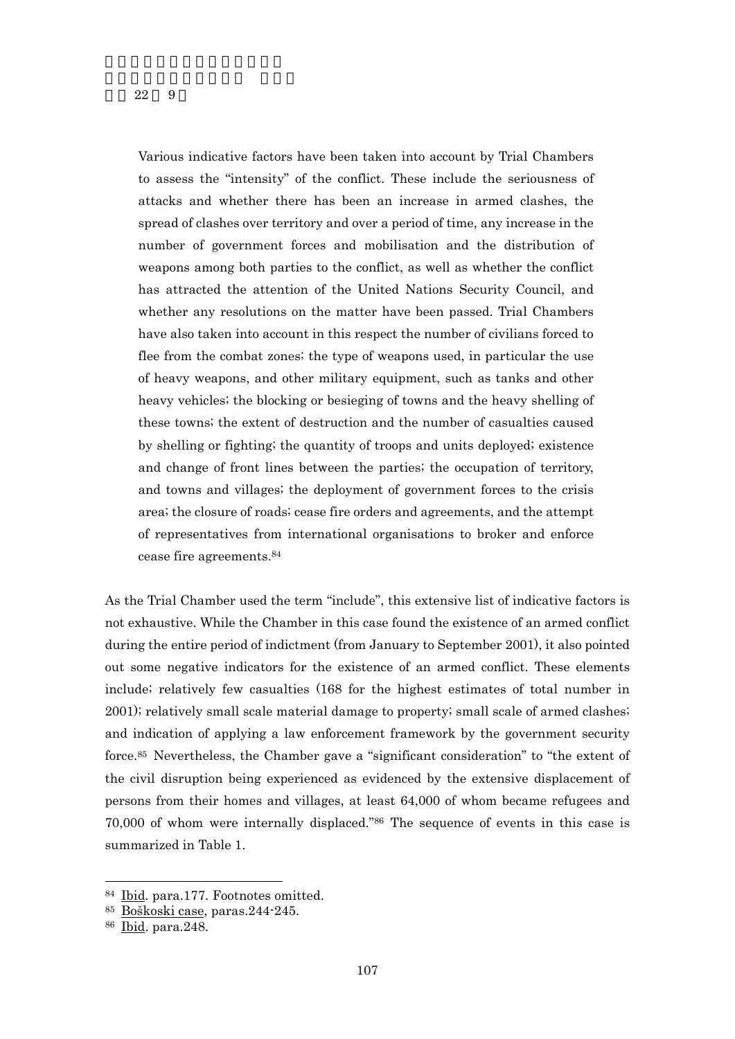Various indicative factors have been taken into account by Trial Chambers to assess the "intensity" of the conflict. These include the seriousness of attacks and whether there has been an increase in armed clashes, the spread of clashes over territory and over a period of time, any increase in the number of government forces and mobilisation and the distribution of weapons among both parties to the conflict, as well as whether the conflict has attracted the attention of the United Nations Security Council, and whether any resolutions on the matter have been passed. Trial Chambers have also taken into account in this respect the number of civilians forced to flee from the combat zones; the type of weapons used, in particular the use of heavy weapons, and other military equipment, such as tanks and other heavy vehicles; the blocking or besieging of towns and the heavy shelling of these towns; the extent of destruction and the number of casualties caused by shelling or fighting; the quantity of troops and units deployed; existence and change of front lines between the parties; the occupation of territory, and towns and villages; the deployment of government forces to the crisis area; the closure of roads; cease fire orders and agreements, and the attempt of representatives from international organisations to broker and enforce cease fire agreements.84

As the Trial Chamber used the term "include", this extensive list of indicative factors is not exhaustive. While the Chamber in this case found the existence of an armed conflict during the entire period of indictment (from January to September 2001), it also pointed out some negative indicators for the existence of an armed conflict. These elements include; relatively few casualties (168 for the highest estimates of total number in 2001); relatively small scale material damage to property; small scale of armed clashes; and indication of applying a law enforcement framework by the government security force.85 Nevertheless, the Chamber gave a "significant consideration" to "the extent of the civil disruption being experienced as evidenced by the extensive displacement of persons from their homes and villages, at least 64,000 of whom became refugees and 70,000 of whom were internally displaced."86 The sequence of events in this case is summarized in Table 1.

<sup>84</sup> Ibid. para.177. Footnotes omitted.

<sup>85</sup> Boškoski case, paras.244-245.

<sup>86</sup> Ibid. para.248.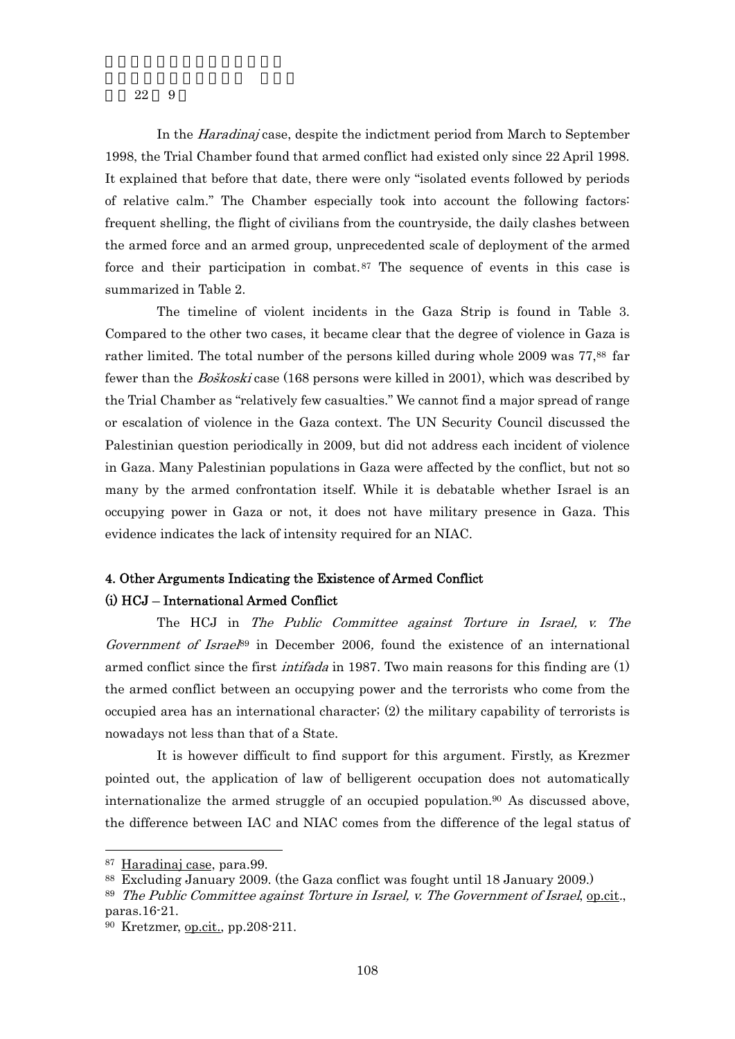In the *Haradinaj* case, despite the indictment period from March to September 1998, the Trial Chamber found that armed conflict had existed only since 22 April 1998. It explained that before that date, there were only "isolated events followed by periods of relative calm." The Chamber especially took into account the following factors: frequent shelling, the flight of civilians from the countryside, the daily clashes between the armed force and an armed group, unprecedented scale of deployment of the armed force and their participation in combat.<sup>87</sup> The sequence of events in this case is summarized in Table 2.

The timeline of violent incidents in the Gaza Strip is found in Table 3. Compared to the other two cases, it became clear that the degree of violence in Gaza is rather limited. The total number of the persons killed during whole 2009 was 77,<sup>88</sup> far fewer than the Boškoski case (168 persons were killed in 2001), which was described by the Trial Chamber as "relatively few casualties." We cannot find a major spread of range or escalation of violence in the Gaza context. The UN Security Council discussed the Palestinian question periodically in 2009, but did not address each incident of violence in Gaza. Many Palestinian populations in Gaza were affected by the conflict, but not so many by the armed confrontation itself. While it is debatable whether Israel is an occupying power in Gaza or not, it does not have military presence in Gaza. This evidence indicates the lack of intensity required for an NIAC.

# 4. Other Arguments Indicating the Existence of Armed Conflict (i) HCJ – International Armed Conflict

The HCJ in The Public Committee against Torture in Israel, v. The Government of Israe $l^8$ <sup>9</sup> in December 2006, found the existence of an international armed conflict since the first *intifada* in 1987. Two main reasons for this finding are (1) the armed conflict between an occupying power and the terrorists who come from the occupied area has an international character; (2) the military capability of terrorists is nowadays not less than that of a State.

It is however difficult to find support for this argument. Firstly, as Krezmer pointed out, the application of law of belligerent occupation does not automatically internationalize the armed struggle of an occupied population.<sup>90</sup> As discussed above, the difference between IAC and NIAC comes from the difference of the legal status of

<sup>87</sup> Haradinaj case, para.99.

<sup>88</sup> Excluding January 2009. (the Gaza conflict was fought until 18 January 2009.)

 $89$  The Public Committee against Torture in Israel, v. The Government of Israel,  $q_{\text{D},\text{cit}}$ , paras.16-21.

<sup>90</sup> Kretzmer, op.cit., pp.208-211.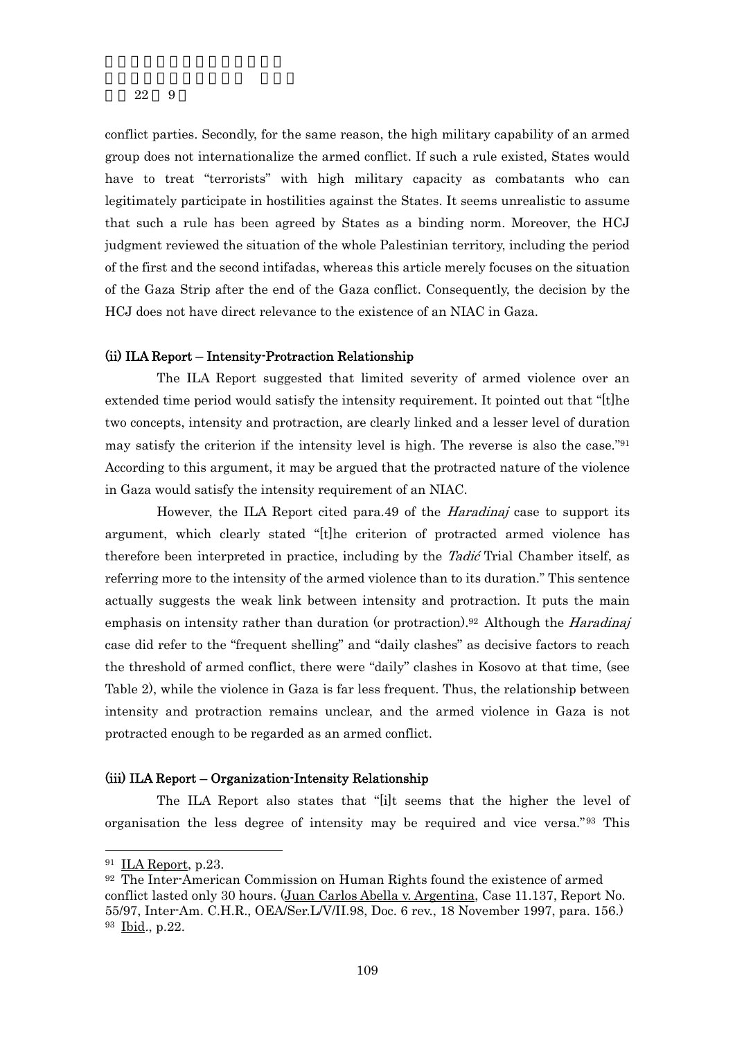conflict parties. Secondly, for the same reason, the high military capability of an armed group does not internationalize the armed conflict. If such a rule existed, States would have to treat "terrorists" with high military capacity as combatants who can legitimately participate in hostilities against the States. It seems unrealistic to assume that such a rule has been agreed by States as a binding norm. Moreover, the HCJ judgment reviewed the situation of the whole Palestinian territory, including the period of the first and the second intifadas, whereas this article merely focuses on the situation of the Gaza Strip after the end of the Gaza conflict. Consequently, the decision by the HCJ does not have direct relevance to the existence of an NIAC in Gaza.

### (ii) ILA Report – Intensity-Protraction Relationship

The ILA Report suggested that limited severity of armed violence over an extended time period would satisfy the intensity requirement. It pointed out that "[t]he two concepts, intensity and protraction, are clearly linked and a lesser level of duration may satisfy the criterion if the intensity level is high. The reverse is also the case."91 According to this argument, it may be argued that the protracted nature of the violence in Gaza would satisfy the intensity requirement of an NIAC.

However, the ILA Report cited para.49 of the Haradinaj case to support its argument, which clearly stated "[t]he criterion of protracted armed violence has therefore been interpreted in practice, including by the *Tadić* Trial Chamber itself, as referring more to the intensity of the armed violence than to its duration." This sentence actually suggests the weak link between intensity and protraction. It puts the main emphasis on intensity rather than duration (or protraction).<sup>92</sup> Although the *Haradinaj* case did refer to the "frequent shelling" and "daily clashes" as decisive factors to reach the threshold of armed conflict, there were "daily" clashes in Kosovo at that time, (see Table 2), while the violence in Gaza is far less frequent. Thus, the relationship between intensity and protraction remains unclear, and the armed violence in Gaza is not protracted enough to be regarded as an armed conflict.

### (iii) ILA Report – Organization-Intensity Relationship

The ILA Report also states that "[i]t seems that the higher the level of organisation the less degree of intensity may be required and vice versa."93 This

<sup>91</sup> ILA Report, p.23.

<sup>92</sup> The Inter-American Commission on Human Rights found the existence of armed conflict lasted only 30 hours. (Juan Carlos Abella v. Argentina, Case 11.137, Report No. 55/97, Inter-Am. C.H.R., OEA/Ser.L/V/II.98, Doc. 6 rev., 18 November 1997, para. 156.) 93 Ibid., p.22.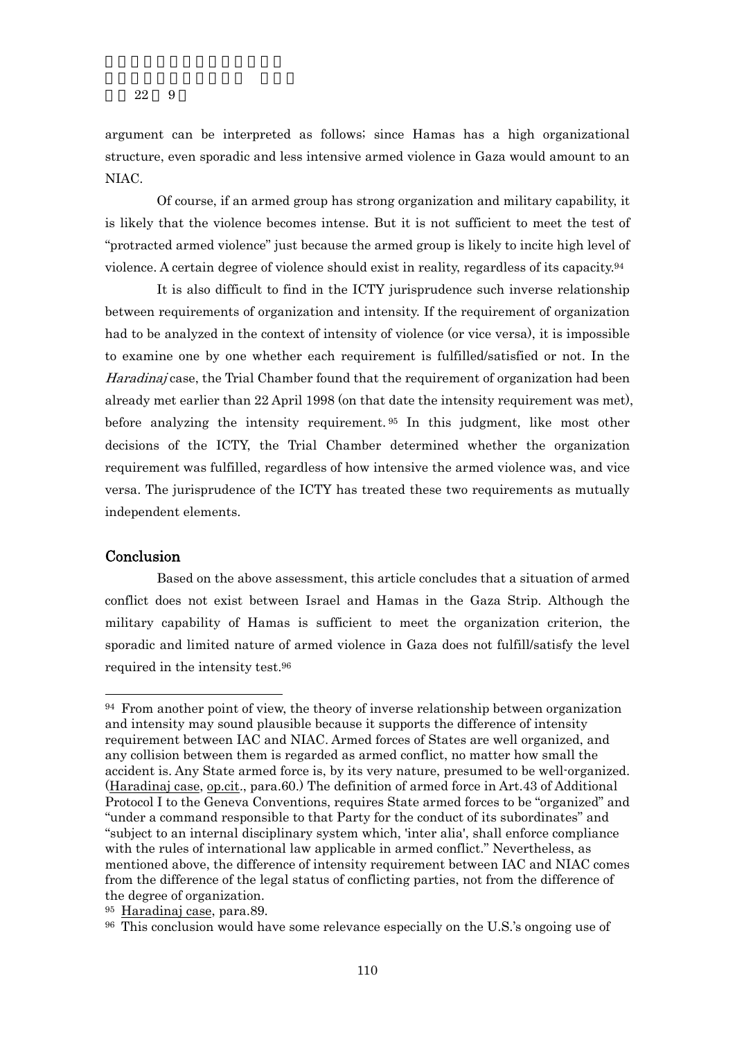argument can be interpreted as follows; since Hamas has a high organizational structure, even sporadic and less intensive armed violence in Gaza would amount to an NIAC.

Of course, if an armed group has strong organization and military capability, it is likely that the violence becomes intense. But it is not sufficient to meet the test of "protracted armed violence" just because the armed group is likely to incite high level of violence. A certain degree of violence should exist in reality, regardless of its capacity.94

It is also difficult to find in the ICTY jurisprudence such inverse relationship between requirements of organization and intensity. If the requirement of organization had to be analyzed in the context of intensity of violence (or vice versa), it is impossible to examine one by one whether each requirement is fulfilled/satisfied or not. In the Haradinaj case, the Trial Chamber found that the requirement of organization had been already met earlier than 22 April 1998 (on that date the intensity requirement was met), before analyzing the intensity requirement. 95 In this judgment, like most other decisions of the ICTY, the Trial Chamber determined whether the organization requirement was fulfilled, regardless of how intensive the armed violence was, and vice versa. The jurisprudence of the ICTY has treated these two requirements as mutually independent elements.

## Conclusion

-

 Based on the above assessment, this article concludes that a situation of armed conflict does not exist between Israel and Hamas in the Gaza Strip. Although the military capability of Hamas is sufficient to meet the organization criterion, the sporadic and limited nature of armed violence in Gaza does not fulfill/satisfy the level required in the intensity test.96

<sup>94</sup> From another point of view, the theory of inverse relationship between organization and intensity may sound plausible because it supports the difference of intensity requirement between IAC and NIAC. Armed forces of States are well organized, and any collision between them is regarded as armed conflict, no matter how small the accident is. Any State armed force is, by its very nature, presumed to be well-organized. (Haradinaj case, op.cit., para.60.) The definition of armed force in Art.43 of Additional Protocol I to the Geneva Conventions, requires State armed forces to be "organized" and "under a command responsible to that Party for the conduct of its subordinates" and "subject to an internal disciplinary system which, 'inter alia', shall enforce compliance with the rules of international law applicable in armed conflict." Nevertheless, as mentioned above, the difference of intensity requirement between IAC and NIAC comes from the difference of the legal status of conflicting parties, not from the difference of the degree of organization.

<sup>95</sup> Haradinaj case, para.89.

<sup>96</sup> This conclusion would have some relevance especially on the U.S.'s ongoing use of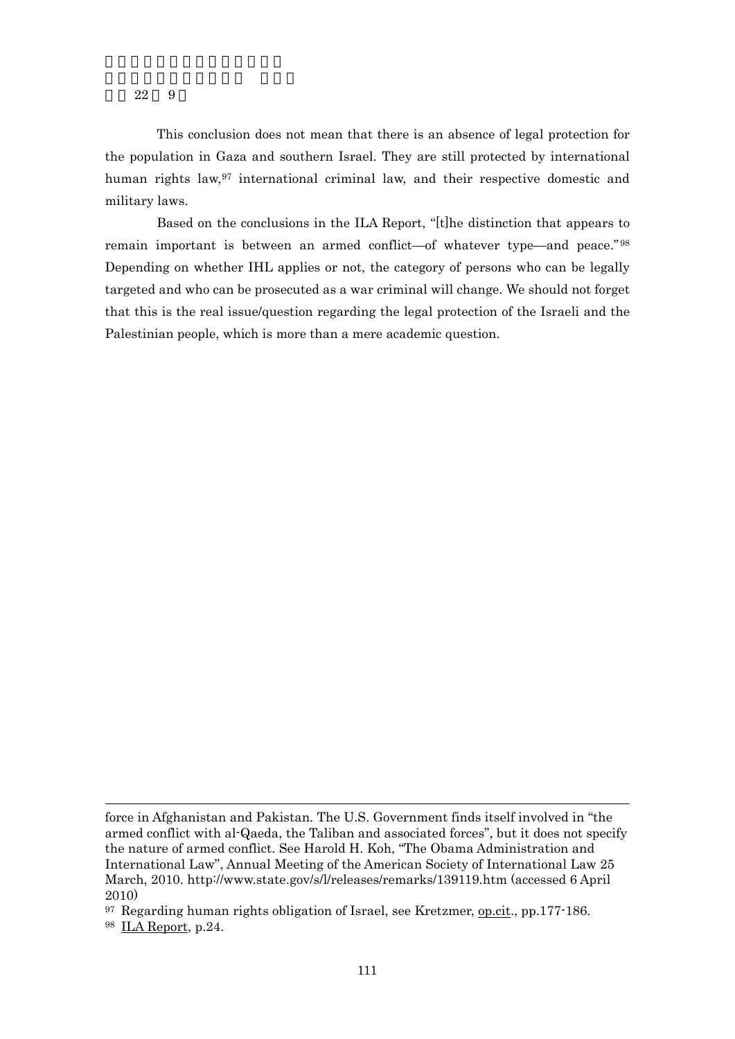This conclusion does not mean that there is an absence of legal protection for the population in Gaza and southern Israel. They are still protected by international human rights law,<sup>97</sup> international criminal law, and their respective domestic and military laws.

 Based on the conclusions in the ILA Report, "[t]he distinction that appears to remain important is between an armed conflict—of whatever type—and peace." 98 Depending on whether IHL applies or not, the category of persons who can be legally targeted and who can be prosecuted as a war criminal will change. We should not forget that this is the real issue/question regarding the legal protection of the Israeli and the Palestinian people, which is more than a mere academic question.

98 ILA Report, p.24.

force in Afghanistan and Pakistan. The U.S. Government finds itself involved in "the armed conflict with al-Qaeda, the Taliban and associated forces", but it does not specify the nature of armed conflict. See Harold H. Koh, "The Obama Administration and International Law", Annual Meeting of the American Society of International Law 25 March, 2010. http://www.state.gov/s/l/releases/remarks/139119.htm (accessed 6 April 2010)

<sup>97</sup> Regarding human rights obligation of Israel, see Kretzmer, op.cit., pp.177-186.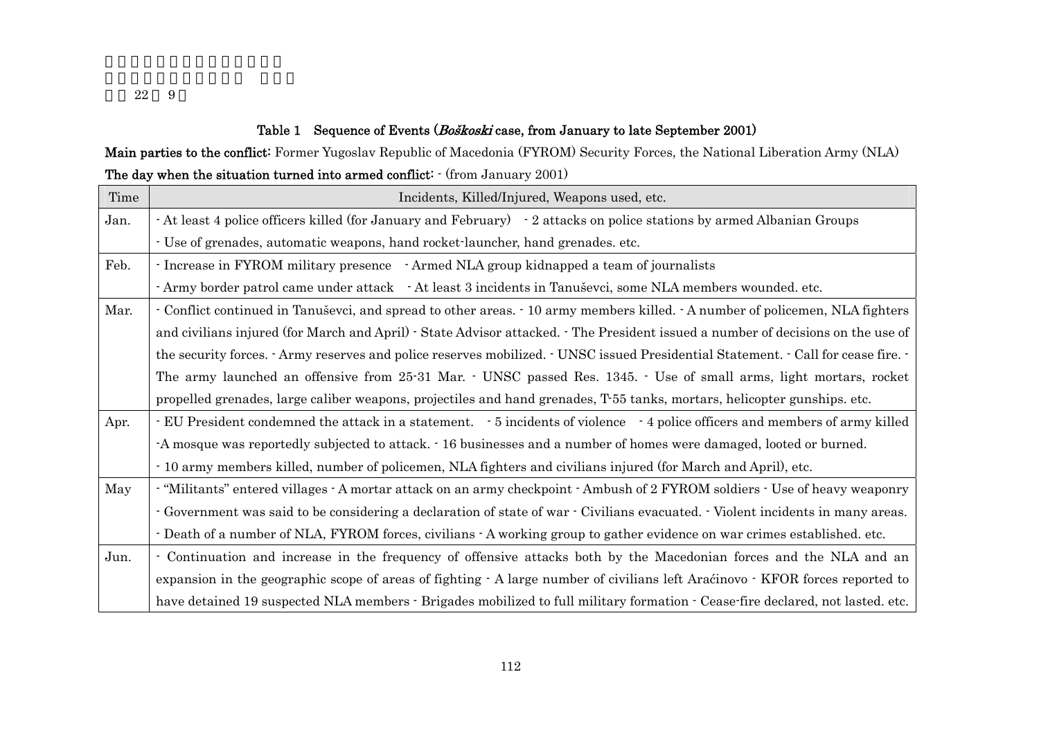## Table 1 Sequence of Events (Boškoski case, from January to late September 2001)

# Main parties to the conflict: Former Yugoslav Republic of Macedonia (FYROM) Security Forces, the National Liberation Army (NLA) The day when the situation turned into armed conflict:  $\cdot$  (from January 2001)

| Time | Incidents, Killed/Injured, Weapons used, etc.                                                                                                      |
|------|----------------------------------------------------------------------------------------------------------------------------------------------------|
| Jan. | - At least 4 police officers killed (for January and February) - 2 attacks on police stations by armed Albanian Groups                             |
|      | - Use of grenades, automatic weapons, hand rocket-launcher, hand grenades. etc.                                                                    |
| Feb. | - Increase in FYROM military presence - Armed NLA group kidnapped a team of journalists                                                            |
|      | - Army border patrol came under attack - At least 3 incidents in Tanuševci, some NLA members wounded. etc.                                         |
| Mar. | - Conflict continued in Tanuševci, and spread to other areas. - 10 army members killed. - A number of policemen, NLA fighters                      |
|      | and civilians injured (for March and April) - State Advisor attacked. - The President issued a number of decisions on the use of                   |
|      | the security forces. Army reserves and police reserves mobilized. $\cdot$ UNSC issued Presidential Statement. $\cdot$ Call for cease fire. $\cdot$ |
|      | The army launched an offensive from 25-31 Mar. · UNSC passed Res. 1345. · Use of small arms, light mortars, rocket                                 |
|      | propelled grenades, large caliber weapons, projectiles and hand grenades, T-55 tanks, mortars, helicopter gunships. etc.                           |
| Apr. | EU President condemned the attack in a statement. 5 incidents of violence 4 police officers and members of army killed                             |
|      | -A mosque was reportedly subjected to attack. $\cdot$ 16 businesses and a number of homes were damaged, looted or burned.                          |
|      | - 10 army members killed, number of policemen, NLA fighters and civilians injured (for March and April), etc.                                      |
| May  | - "Militants" entered villages - A mortar attack on an army checkpoint - Ambush of 2 FYROM soldiers - Use of heavy weaponry                        |
|      | - Government was said to be considering a declaration of state of war - Civilians evacuated. - Violent incidents in many areas.                    |
|      | - Death of a number of NLA, FYROM forces, civilians - A working group to gather evidence on war crimes established. etc.                           |
| Jun. | - Continuation and increase in the frequency of offensive attacks both by the Macedonian forces and the NLA and an                                 |
|      | expansion in the geographic scope of areas of fighting $\cdot$ A large number of civilians left Araćinovo $\cdot$ KFOR forces reported to          |
|      | have detained 19 suspected NLA members · Brigades mobilized to full military formation · Cease-fire declared, not lasted. etc.                     |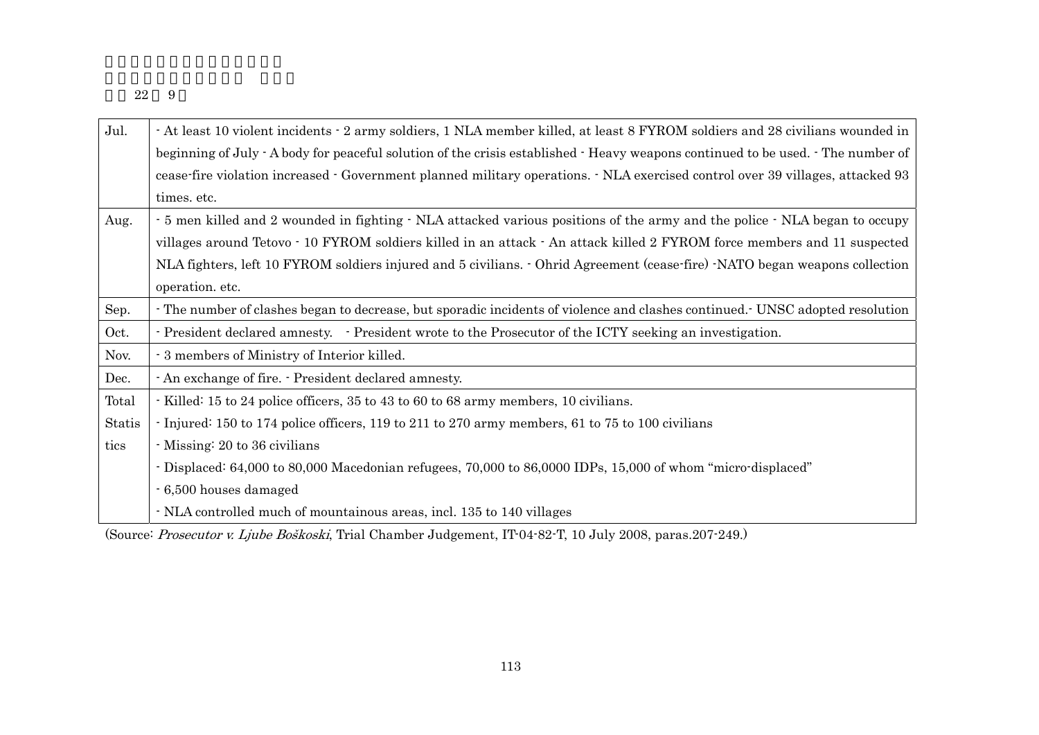| Jul.   | - At least 10 violent incidents - 2 army soldiers, 1 NLA member killed, at least 8 FYROM soldiers and 28 civilians wounded in    |
|--------|----------------------------------------------------------------------------------------------------------------------------------|
|        | beginning of July - A body for peaceful solution of the crisis established - Heavy weapons continued to be used. - The number of |
|        | cease fire violation increased · Government planned military operations. · NLA exercised control over 39 villages, attacked 93   |
|        | times. etc.                                                                                                                      |
| Aug.   | - 5 men killed and 2 wounded in fighting - NLA attacked various positions of the army and the police - NLA began to occupy       |
|        | villages around Tetovo · 10 FYROM soldiers killed in an attack · An attack killed 2 FYROM force members and 11 suspected         |
|        | NLA fighters, left 10 FYROM soldiers injured and 5 civilians. - Ohrid Agreement (cease-fire) -NATO began weapons collection      |
|        | operation. etc.                                                                                                                  |
| Sep.   | The number of clashes began to decrease, but sporadic incidents of violence and clashes continued. UNSC adopted resolution       |
| Oct.   | - President declared amnesty. - President wrote to the Prosecutor of the ICTY seeking an investigation.                          |
| Nov.   | - 3 members of Ministry of Interior killed.                                                                                      |
| Dec.   | - An exchange of fire. - President declared amnesty.                                                                             |
| Total  | - Killed: 15 to 24 police officers, 35 to 43 to 60 to 68 army members, 10 civilians.                                             |
| Statis | Injured: 150 to 174 police officers, 119 to 211 to 270 army members, 61 to 75 to 100 civilians                                   |
| tics   | Missing: 20 to 36 civilians                                                                                                      |
|        | - Displaced: 64,000 to 80,000 Macedonian refugees, 70,000 to 86,0000 IDPs, 15,000 of whom "micro-displaced"                      |
|        | - 6,500 houses damaged                                                                                                           |
|        | NLA controlled much of mountainous areas, incl. 135 to 140 villages                                                              |

(Source: Prosecutor v. Ljube Boškoski, Trial Chamber Judgement, IT-04-82-T, 10 July 2008, paras.207-249.)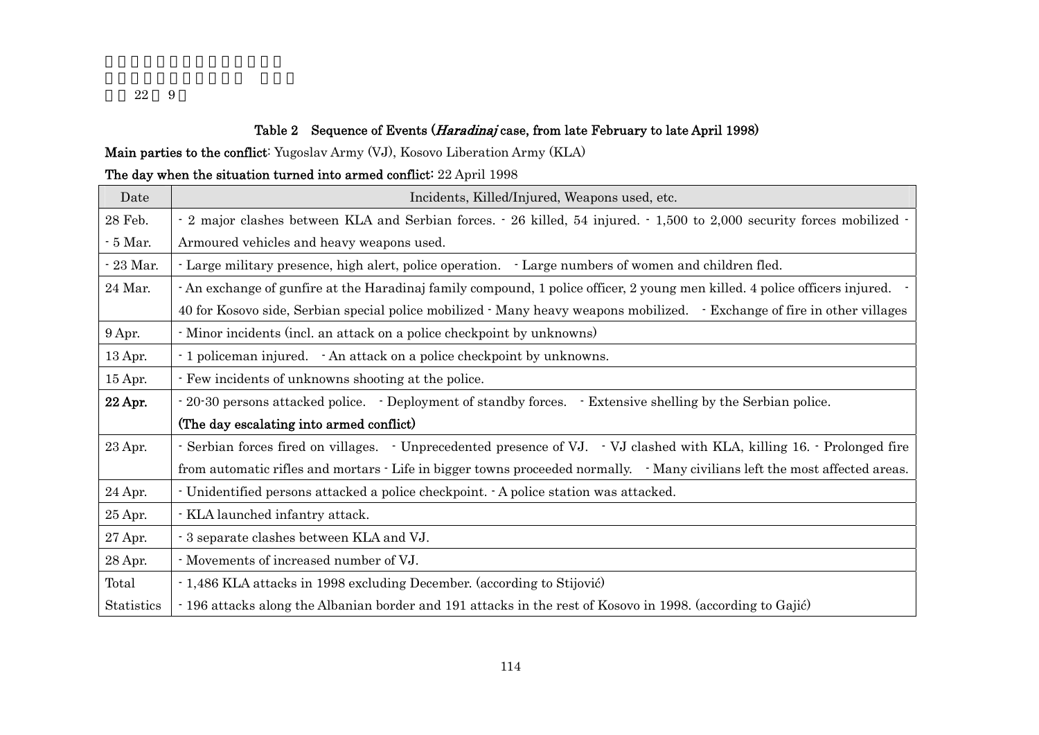# Table 2 Sequence of Events (*Haradinaj* case, from late February to late April 1998)

Main parties to the conflict: Yugoslav Army (VJ), Kosovo Liberation Army (KLA)

# The day when the situation turned into armed conflict: 22 April 1998

| Date          | Incidents, Killed/Injured, Weapons used, etc.                                                                               |  |  |
|---------------|-----------------------------------------------------------------------------------------------------------------------------|--|--|
| 28 Feb.       | - 2 major clashes between KLA and Serbian forces. - 26 killed, 54 injured. - 1,500 to 2,000 security forces mobilized -     |  |  |
| $\sim 5$ Mar. | Armoured vehicles and heavy weapons used.                                                                                   |  |  |
| $-23$ Mar.    | - Large military presence, high alert, police operation. - Large numbers of women and children fled.                        |  |  |
| 24 Mar.       | - An exchange of gunfire at the Haradinaj family compound, 1 police officer, 2 young men killed. 4 police officers injured. |  |  |
|               | 40 for Kosovo side, Serbian special police mobilized · Many heavy weapons mobilized. · Exchange of fire in other villages   |  |  |
| 9 Apr.        | Minor incidents (incl. an attack on a police checkpoint by unknowns)                                                        |  |  |
| 13 Apr.       | - 1 policeman injured. - An attack on a police checkpoint by unknowns.                                                      |  |  |
| 15 Apr.       | - Few incidents of unknowns shooting at the police.                                                                         |  |  |
| 22 Apr.       | - 20-30 persons attacked police. • Deployment of standby forces. • Extensive shelling by the Serbian police.                |  |  |
|               | (The day escalating into armed conflict)                                                                                    |  |  |
| 23 Apr.       | - Serbian forces fired on villages. - Unprecedented presence of VJ. - VJ clashed with KLA, killing 16. - Prolonged fire     |  |  |
|               | from automatic rifles and mortars - Life in bigger towns proceeded normally. • Many civilians left the most affected areas. |  |  |
| 24 Apr.       | - Unidentified persons attacked a police checkpoint. A police station was attacked.                                         |  |  |
| 25 Apr.       | - KLA launched infantry attack.                                                                                             |  |  |
| 27 Apr.       | - 3 separate clashes between KLA and VJ.                                                                                    |  |  |
| 28 Apr.       | Movements of increased number of VJ.                                                                                        |  |  |
| Total         | - 1,486 KLA attacks in 1998 excluding December. (according to Stijović)                                                     |  |  |
| Statistics    | -196 attacks along the Albanian border and 191 attacks in the rest of Kosovo in 1998. (according to Gajić)                  |  |  |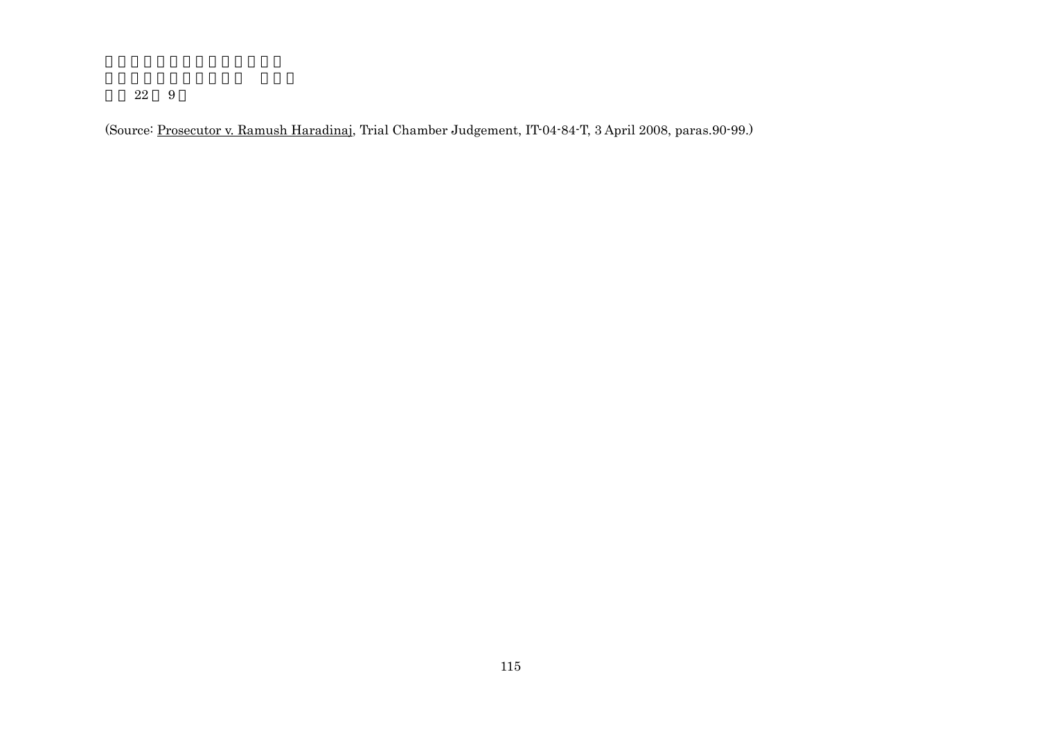(Source: Prosecutor v. Ramush Haradinaj, Trial Chamber Judgement, IT-04-84-T, 3 April 2008, paras.90-99.)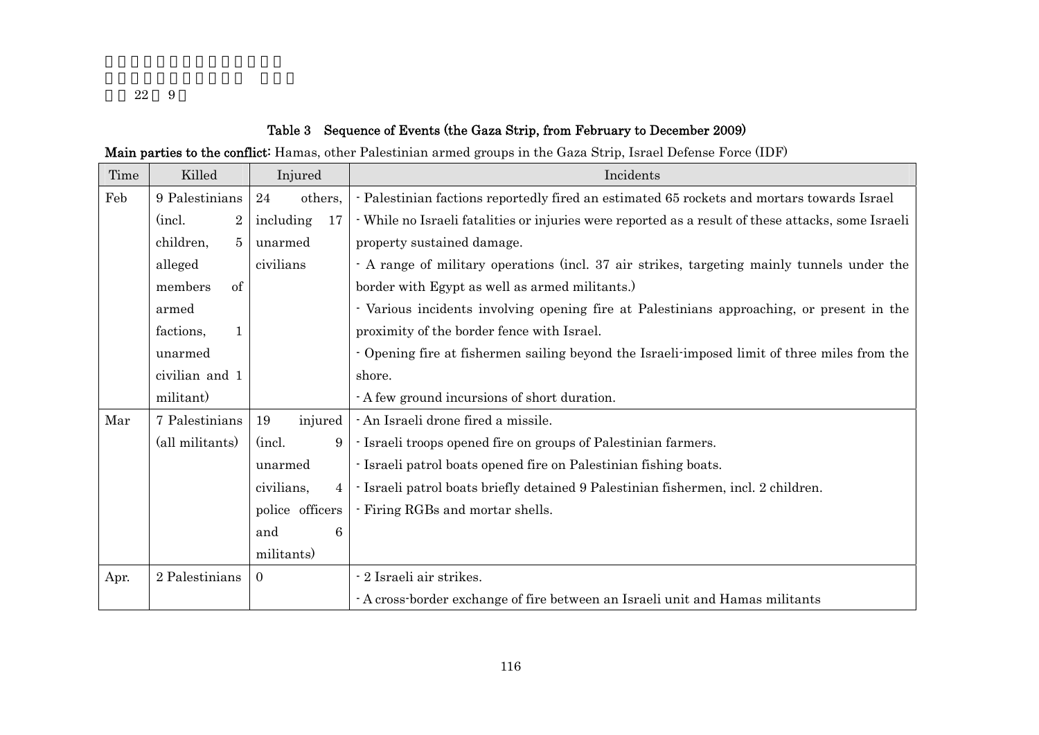# Table 3 Sequence of Events (the Gaza Strip, from February to December 2009)

Main parties to the conflict: Hamas, other Palestinian armed groups in the Gaza Strip, Israel Defense Force (IDF)

| Time | Killed                      | Injured                      | Incidents                                                                                          |
|------|-----------------------------|------------------------------|----------------------------------------------------------------------------------------------------|
| Feb  | 9 Palestinians              | 24<br>others,                | - Palestinian factions reportedly fired an estimated 65 rockets and mortars towards Israel         |
|      | (incl.<br>$\overline{2}$    | including<br>17              | · While no Israeli fatalities or injuries were reported as a result of these attacks, some Israeli |
|      | children,<br>5 <sup>5</sup> | unarmed                      | property sustained damage.                                                                         |
|      | alleged                     | civilians                    | - A range of military operations (incl. 37 air strikes, targeting mainly tunnels under the         |
|      | members<br>of               |                              | border with Egypt as well as armed militants.)                                                     |
|      | armed                       |                              | - Various incidents involving opening fire at Palestinians approaching, or present in the          |
|      | factions,<br>$\mathbf{1}$   |                              | proximity of the border fence with Israel.                                                         |
|      | unarmed                     |                              | - Opening fire at fishermen sailing beyond the Israeli-imposed limit of three miles from the       |
|      | civilian and 1              |                              | shore.                                                                                             |
|      | militant)                   |                              | - A few ground incursions of short duration.                                                       |
| Mar  | 7 Palestinians              | 19<br>injured                | - An Israeli drone fired a missile.                                                                |
|      | (all militants)             | (incl.)<br>9                 | - Israeli troops opened fire on groups of Palestinian farmers.                                     |
|      | unarmed                     |                              | - Israeli patrol boats opened fire on Palestinian fishing boats.                                   |
|      |                             | civilians,<br>$\overline{4}$ | - Israeli patrol boats briefly detained 9 Palestinian fishermen, incl. 2 children.                 |
|      |                             | police officers              | - Firing RGBs and mortar shells.                                                                   |
|      |                             | 6<br>and                     |                                                                                                    |
|      |                             | militants)                   |                                                                                                    |
| Apr. | 2 Palestinians              | $\Omega$                     | - 2 Israeli air strikes.                                                                           |
|      |                             |                              | - A cross-border exchange of fire between an Israeli unit and Hamas militants                      |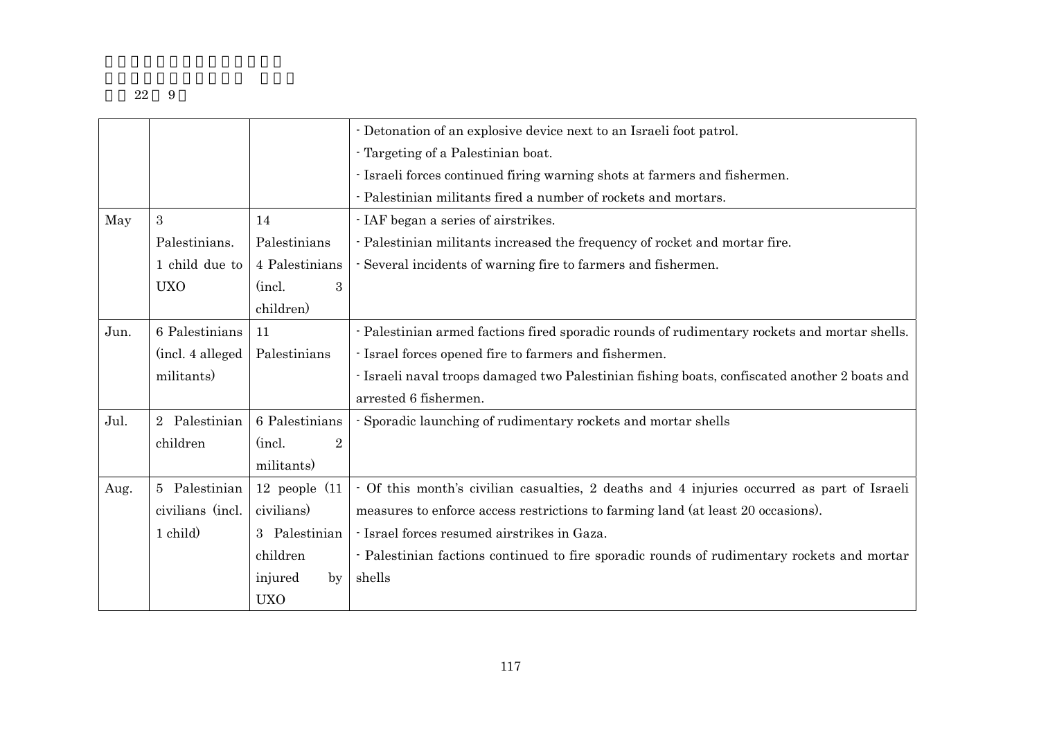|      |                   |                          | - Detonation of an explosive device next to an Israeli foot patrol.                           |
|------|-------------------|--------------------------|-----------------------------------------------------------------------------------------------|
|      |                   |                          | - Targeting of a Palestinian boat.                                                            |
|      |                   |                          | - Israeli forces continued firing warning shots at farmers and fishermen.                     |
|      |                   |                          | - Palestinian militants fired a number of rockets and mortars.                                |
| May  | 3                 | 14                       | - IAF began a series of airstrikes.                                                           |
|      | Palestinians.     | Palestinians             | - Palestinian militants increased the frequency of rocket and mortar fire.                    |
|      | 1 child due to    | 4 Palestinians           | - Several incidents of warning fire to farmers and fishermen.                                 |
|      | <b>UXO</b>        | (incl.<br>3              |                                                                                               |
|      |                   | children)                |                                                                                               |
| Jun. | 6 Palestinians    | 11                       | - Palestinian armed factions fired sporadic rounds of rudimentary rockets and mortar shells.  |
|      | (incl. 4 alleged) | Palestinians             | - Israel forces opened fire to farmers and fishermen.                                         |
|      | militants)        |                          | - Israeli naval troops damaged two Palestinian fishing boats, confiscated another 2 boats and |
|      |                   |                          | arrested 6 fishermen.                                                                         |
| Jul. | Palestinian<br>2  | 6 Palestinians           | Sporadic launching of rudimentary rockets and mortar shells                                   |
|      | children          | (incl.<br>$\overline{2}$ |                                                                                               |
|      |                   | militants)               |                                                                                               |
| Aug. | 5 Palestinian     | 12 people $(11$          | - Of this month's civilian casualties, 2 deaths and 4 injuries occurred as part of Israeli    |
|      | civilians (incl.  | civilians)               | measures to enforce access restrictions to farming land (at least 20 occasions).              |
|      | 1 child)          | 3 Palestinian            | - Israel forces resumed airstrikes in Gaza.                                                   |
|      |                   | children                 | - Palestinian factions continued to fire sporadic rounds of rudimentary rockets and mortar    |
|      |                   | injured<br>by            | shells                                                                                        |
|      |                   | <b>UXO</b>               |                                                                                               |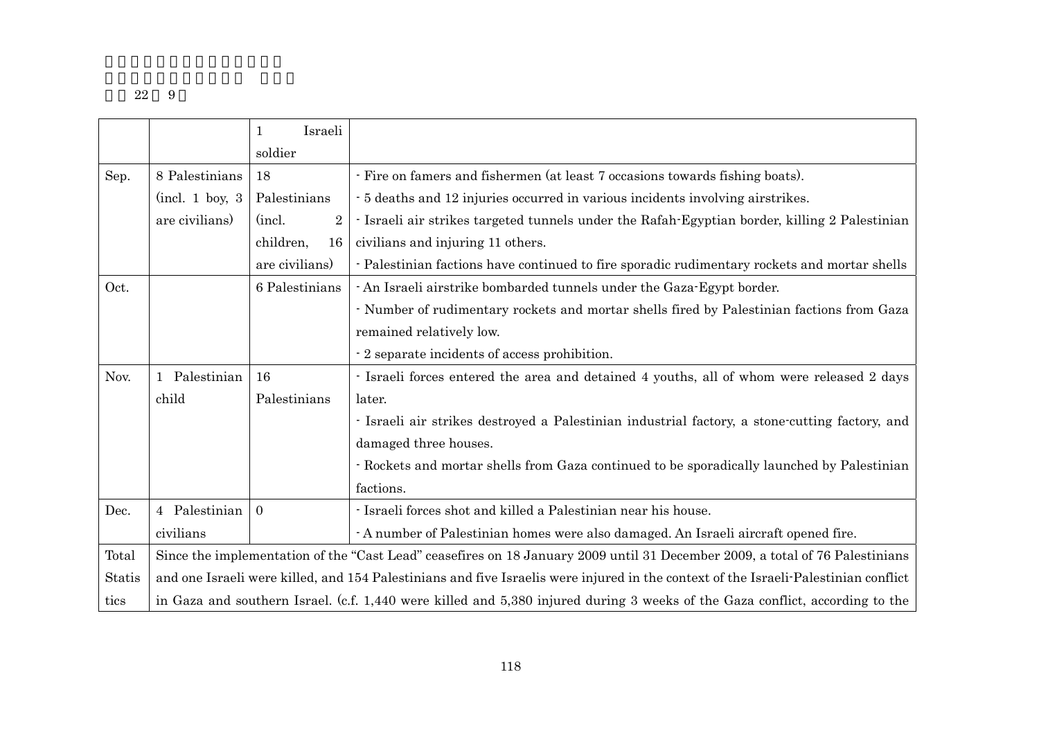|        |                                                                                                                                     | Israeli<br>1              |                                                                                                |
|--------|-------------------------------------------------------------------------------------------------------------------------------------|---------------------------|------------------------------------------------------------------------------------------------|
|        |                                                                                                                                     | soldier                   |                                                                                                |
| Sep.   | - Fire on famers and fishermen (at least 7 occasions towards fishing boats).<br>8 Palestinians<br>18                                |                           |                                                                                                |
|        | (incl. 1 boy. 3)                                                                                                                    | Palestinians              | - 5 deaths and 12 injuries occurred in various incidents involving airstrikes.                 |
|        | are civilians)                                                                                                                      | (incl.)<br>$\overline{2}$ | - Israeli air strikes targeted tunnels under the Rafah-Egyptian border, killing 2 Palestinian  |
|        |                                                                                                                                     | children,<br>16           | civilians and injuring 11 others.                                                              |
|        |                                                                                                                                     | are civilians)            | - Palestinian factions have continued to fire sporadic rudimentary rockets and mortar shells   |
| Oct.   |                                                                                                                                     | 6 Palestinians            | - An Israeli airstrike bombarded tunnels under the Gaza-Egypt border.                          |
|        |                                                                                                                                     |                           | - Number of rudimentary rockets and mortar shells fired by Palestinian factions from Gaza      |
|        |                                                                                                                                     |                           | remained relatively low.                                                                       |
|        |                                                                                                                                     |                           | - 2 separate incidents of access prohibition.                                                  |
| Nov.   | 1 Palestinian                                                                                                                       | 16                        | - Israeli forces entered the area and detained 4 youths, all of whom were released 2 days      |
|        | child                                                                                                                               | Palestinians              | later.                                                                                         |
|        |                                                                                                                                     |                           | - Israeli air strikes destroyed a Palestinian industrial factory, a stone-cutting factory, and |
|        |                                                                                                                                     |                           | damaged three houses.                                                                          |
|        |                                                                                                                                     |                           | - Rockets and mortar shells from Gaza continued to be sporadically launched by Palestinian     |
|        |                                                                                                                                     |                           | factions.                                                                                      |
| Dec.   | 4 Palestinian                                                                                                                       | $\Omega$                  | - Israeli forces shot and killed a Palestinian near his house.                                 |
|        | civilians                                                                                                                           |                           | - A number of Palestinian homes were also damaged. An Israeli aircraft opened fire.            |
| Total  | Since the implementation of the "Cast Lead" ceasefires on 18 January 2009 until 31 December 2009, a total of 76 Palestinians        |                           |                                                                                                |
| Statis | and one Israeli were killed, and 154 Palestinians and five Israelis were injured in the context of the Israeli-Palestinian conflict |                           |                                                                                                |
| tics   | in Gaza and southern Israel. (c.f. 1,440 were killed and 5,380 injured during 3 weeks of the Gaza conflict, according to the        |                           |                                                                                                |